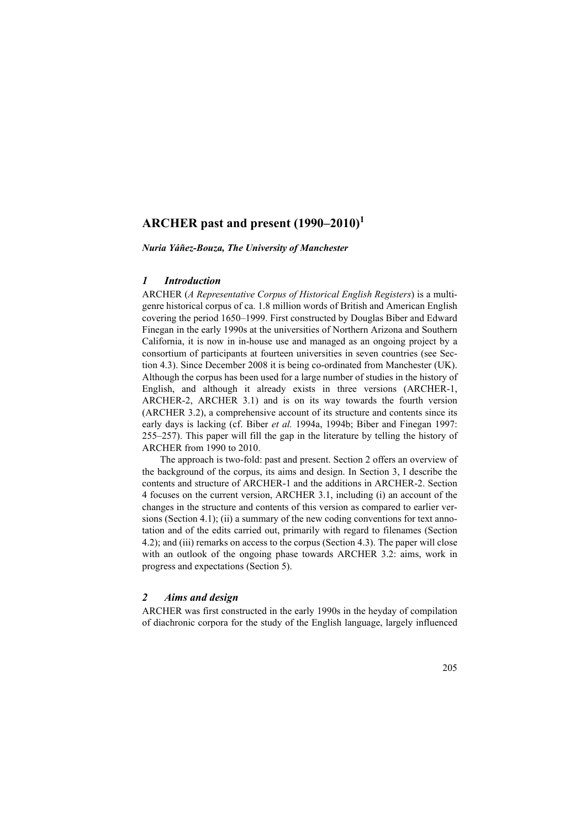# **ARCHER past and present (1990–2010)<sup>1</sup>**

*Nuria Yáñez-Bouza, The University of Manchester*

# *1 Introduction*

ARCHER (*A Representative Corpus of Historical English Registers*) is a multigenre historical corpus of ca. 1.8 million words of British and American English covering the period 1650–1999. First constructed by Douglas Biber and Edward Finegan in the early 1990s at the universities of Northern Arizona and Southern California, it is now in in-house use and managed as an ongoing project by a consortium of participants at fourteen universities in seven countries (see Section 4.3). Since December 2008 it is being co-ordinated from Manchester (UK). Although the corpus has been used for a large number of studies in the history of English, and although it already exists in three versions (ARCHER-1, ARCHER-2, ARCHER 3.1) and is on its way towards the fourth version (ARCHER 3.2), a comprehensive account of its structure and contents since its early days is lacking (cf. Biber *et al.* 1994a, 1994b; Biber and Finegan 1997: 255–257). This paper will fill the gap in the literature by telling the history of ARCHER from 1990 to 2010.

The approach is two-fold: past and present. Section 2 offers an overview of the background of the corpus, its aims and design. In Section 3, I describe the contents and structure of ARCHER-1 and the additions in ARCHER-2. Section 4 focuses on the current version, ARCHER 3.1, including (i) an account of the changes in the structure and contents of this version as compared to earlier versions (Section 4.1); (ii) a summary of the new coding conventions for text annotation and of the edits carried out, primarily with regard to filenames (Section 4.2); and (iii) remarks on access to the corpus (Section 4.3). The paper will close with an outlook of the ongoing phase towards ARCHER 3.2: aims, work in progress and expectations (Section 5).

# *2 Aims and design*

ARCHER was first constructed in the early 1990s in the heyday of compilation of diachronic corpora for the study of the English language, largely influenced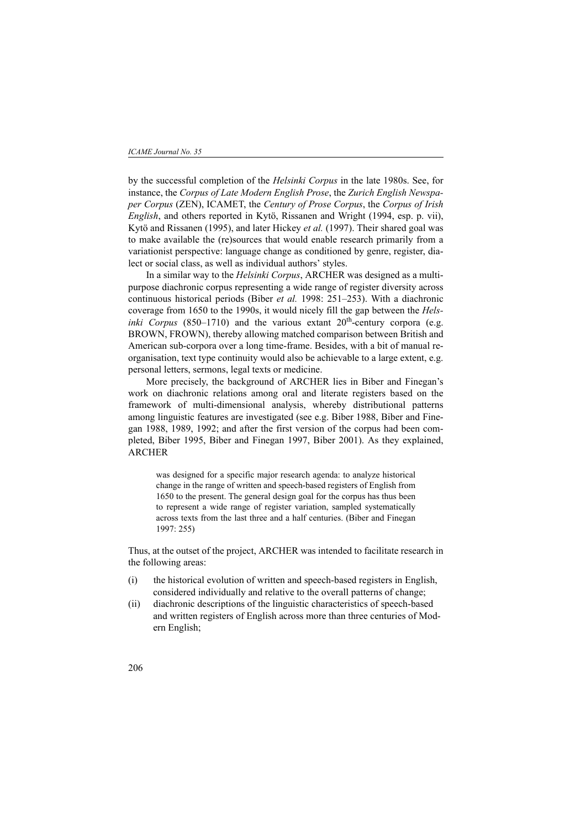by the successful completion of the *Helsinki Corpus* in the late 1980s. See, for instance, the *Corpus of Late Modern English Prose*, the *Zurich English Newspaper Corpus* (ZEN), ICAMET, the *Century of Prose Corpus*, the *Corpus of Irish English*, and others reported in Kytö, Rissanen and Wright (1994, esp. p. vii), Kytö and Rissanen (1995), and later Hickey *et al.* (1997). Their shared goal was to make available the (re)sources that would enable research primarily from a variationist perspective: language change as conditioned by genre, register, dialect or social class, as well as individual authors' styles.

In a similar way to the *Helsinki Corpus*, ARCHER was designed as a multipurpose diachronic corpus representing a wide range of register diversity across continuous historical periods (Biber *et al.* 1998: 251–253). With a diachronic coverage from 1650 to the 1990s, it would nicely fill the gap between the *Helsinki Corpus* (850–1710) and the various extant  $20<sup>th</sup>$ -century corpora (e.g. BROWN, FROWN), thereby allowing matched comparison between British and American sub-corpora over a long time-frame. Besides, with a bit of manual reorganisation, text type continuity would also be achievable to a large extent, e.g. personal letters, sermons, legal texts or medicine.

More precisely, the background of ARCHER lies in Biber and Finegan's work on diachronic relations among oral and literate registers based on the framework of multi-dimensional analysis, whereby distributional patterns among linguistic features are investigated (see e.g. Biber 1988, Biber and Finegan 1988, 1989, 1992; and after the first version of the corpus had been completed, Biber 1995, Biber and Finegan 1997, Biber 2001). As they explained, ARCHER

was designed for a specific major research agenda: to analyze historical change in the range of written and speech-based registers of English from 1650 to the present. The general design goal for the corpus has thus been to represent a wide range of register variation, sampled systematically across texts from the last three and a half centuries. (Biber and Finegan 1997: 255)

Thus, at the outset of the project, ARCHER was intended to facilitate research in the following areas:

- (i) the historical evolution of written and speech-based registers in English, considered individually and relative to the overall patterns of change;
- (ii) diachronic descriptions of the linguistic characteristics of speech-based and written registers of English across more than three centuries of Modern English;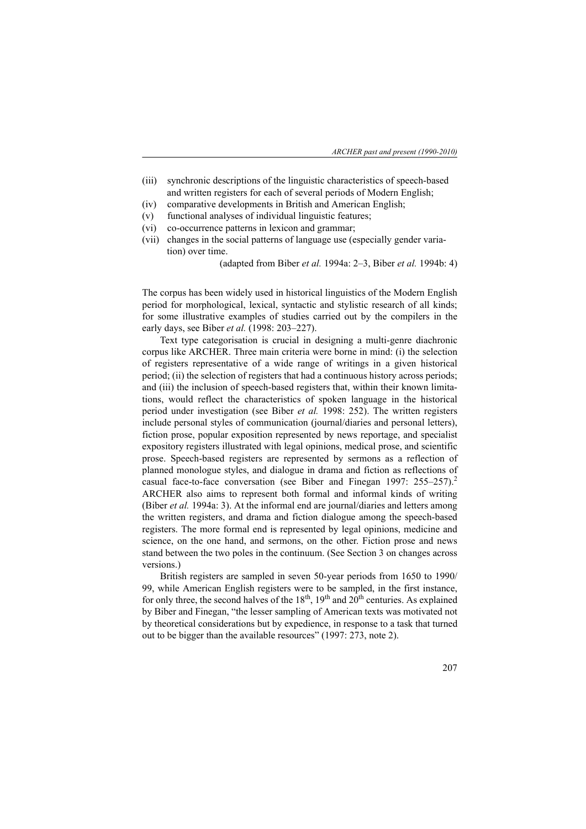- (iii) synchronic descriptions of the linguistic characteristics of speech-based and written registers for each of several periods of Modern English;
- (iv) comparative developments in British and American English;
- (v) functional analyses of individual linguistic features;
- (vi) co-occurrence patterns in lexicon and grammar;
- (vii) changes in the social patterns of language use (especially gender variation) over time.

(adapted from Biber *et al.* 1994a: 2–3, Biber *et al.* 1994b: 4)

The corpus has been widely used in historical linguistics of the Modern English period for morphological, lexical, syntactic and stylistic research of all kinds; for some illustrative examples of studies carried out by the compilers in the early days, see Biber *et al.* (1998: 203–227).

Text type categorisation is crucial in designing a multi-genre diachronic corpus like ARCHER. Three main criteria were borne in mind: (i) the selection of registers representative of a wide range of writings in a given historical period; (ii) the selection of registers that had a continuous history across periods; and (iii) the inclusion of speech-based registers that, within their known limitations, would reflect the characteristics of spoken language in the historical period under investigation (see Biber *et al.* 1998: 252). The written registers include personal styles of communication (journal/diaries and personal letters), fiction prose, popular exposition represented by news reportage, and specialist expository registers illustrated with legal opinions, medical prose, and scientific prose. Speech-based registers are represented by sermons as a reflection of planned monologue styles, and dialogue in drama and fiction as reflections of casual face-to-face conversation (see Biber and Finegan 1997: 255–257).<sup>2</sup> ARCHER also aims to represent both formal and informal kinds of writing (Biber *et al.* 1994a: 3). At the informal end are journal/diaries and letters among the written registers, and drama and fiction dialogue among the speech-based registers. The more formal end is represented by legal opinions, medicine and science, on the one hand, and sermons, on the other. Fiction prose and news stand between the two poles in the continuum. (See Section 3 on changes across versions.)

British registers are sampled in seven 50-year periods from 1650 to 1990/ 99, while American English registers were to be sampled, in the first instance, for only three, the second halves of the  $18<sup>th</sup>$ ,  $19<sup>th</sup>$  and  $20<sup>th</sup>$  centuries. As explained by Biber and Finegan, "the lesser sampling of American texts was motivated not by theoretical considerations but by expedience, in response to a task that turned out to be bigger than the available resources" (1997: 273, note 2).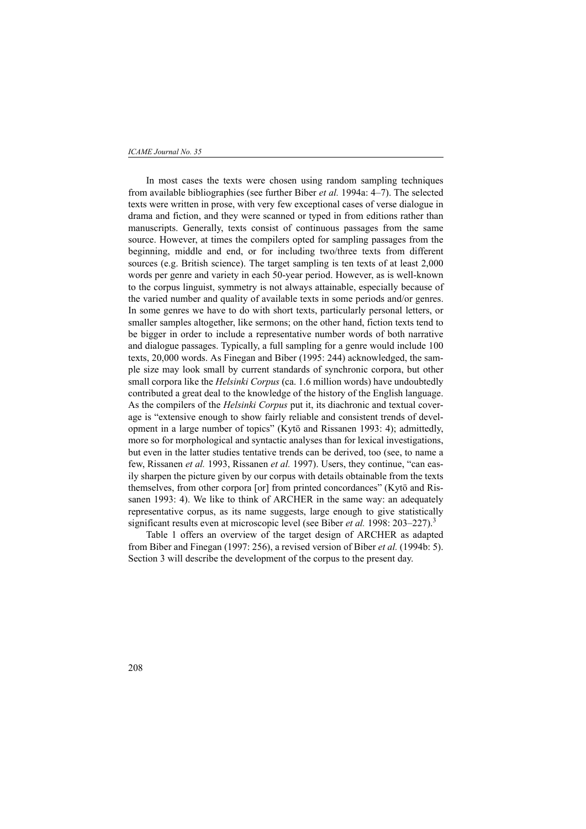### *ICAME Journal No. 35*

In most cases the texts were chosen using random sampling techniques from available bibliographies (see further Biber *et al.* 1994a: 4–7). The selected texts were written in prose, with very few exceptional cases of verse dialogue in drama and fiction, and they were scanned or typed in from editions rather than manuscripts. Generally, texts consist of continuous passages from the same source. However, at times the compilers opted for sampling passages from the beginning, middle and end, or for including two/three texts from different sources (e.g. British science). The target sampling is ten texts of at least 2,000 words per genre and variety in each 50-year period. However, as is well-known to the corpus linguist, symmetry is not always attainable, especially because of the varied number and quality of available texts in some periods and/or genres. In some genres we have to do with short texts, particularly personal letters, or smaller samples altogether, like sermons; on the other hand, fiction texts tend to be bigger in order to include a representative number words of both narrative and dialogue passages. Typically, a full sampling for a genre would include 100 texts, 20,000 words. As Finegan and Biber (1995: 244) acknowledged, the sample size may look small by current standards of synchronic corpora, but other small corpora like the *Helsinki Corpus* (ca. 1.6 million words) have undoubtedly contributed a great deal to the knowledge of the history of the English language. As the compilers of the *Helsinki Corpus* put it, its diachronic and textual coverage is "extensive enough to show fairly reliable and consistent trends of development in a large number of topics" (Kytö and Rissanen 1993: 4); admittedly, more so for morphological and syntactic analyses than for lexical investigations, but even in the latter studies tentative trends can be derived, too (see, to name a few, Rissanen *et al.* 1993, Rissanen *et al.* 1997). Users, they continue, "can easily sharpen the picture given by our corpus with details obtainable from the texts themselves, from other corpora [or] from printed concordances" (Kytö and Rissanen 1993: 4). We like to think of ARCHER in the same way: an adequately representative corpus, as its name suggests, large enough to give statistically significant results even at microscopic level (see Biber *et al.* 1998: 203–227).<sup>3</sup>

Table 1 offers an overview of the target design of ARCHER as adapted from Biber and Finegan (1997: 256), a revised version of Biber *et al.* (1994b: 5). Section 3 will describe the development of the corpus to the present day.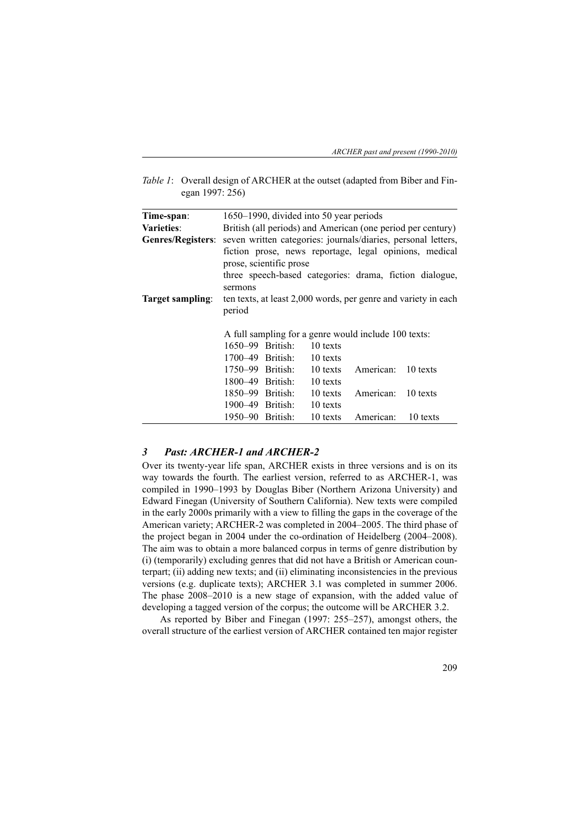| <i>Table 1:</i> Overall design of ARCHER at the outset (adapted from Biber and Fin- |
|-------------------------------------------------------------------------------------|
| egan 1997: 256)                                                                     |

| Time-span:               |                  |                         | 1650–1990, divided into 50 year periods |                                                      |                                                                                                                   |
|--------------------------|------------------|-------------------------|-----------------------------------------|------------------------------------------------------|-------------------------------------------------------------------------------------------------------------------|
| Varieties:               |                  |                         |                                         |                                                      | British (all periods) and American (one period per century)                                                       |
| <b>Genres/Registers:</b> |                  |                         |                                         |                                                      | seven written categories: journals/diaries, personal letters,                                                     |
|                          | sermons          | prose, scientific prose |                                         |                                                      | fiction prose, news reportage, legal opinions, medical<br>three speech-based categories: drama, fiction dialogue, |
| Target sampling:         | period           |                         |                                         |                                                      | ten texts, at least 2,000 words, per genre and variety in each                                                    |
|                          |                  |                         |                                         | A full sampling for a genre would include 100 texts: |                                                                                                                   |
|                          |                  | 1650–99 British:        | 10 texts                                |                                                      |                                                                                                                   |
|                          |                  | 1700–49 British:        | 10 texts                                |                                                      |                                                                                                                   |
|                          |                  | 1750–99 British:        | 10 texts                                | American: 10 texts                                   |                                                                                                                   |
|                          |                  | $1800 - 49$ British:    | 10 texts                                |                                                      |                                                                                                                   |
|                          |                  | 1850–99 British:        | 10 texts                                | American: 10 texts                                   |                                                                                                                   |
|                          |                  | 1900–49 British:        | 10 texts                                |                                                      |                                                                                                                   |
|                          | 1950–90 British: |                         | 10 texts                                | American: 10 texts                                   |                                                                                                                   |

# *3 Past: ARCHER-1 and ARCHER-2*

Over its twenty-year life span, ARCHER exists in three versions and is on its way towards the fourth. The earliest version, referred to as ARCHER-1, was compiled in 1990–1993 by Douglas Biber (Northern Arizona University) and Edward Finegan (University of Southern California). New texts were compiled in the early 2000s primarily with a view to filling the gaps in the coverage of the American variety; ARCHER-2 was completed in 2004–2005. The third phase of the project began in 2004 under the co-ordination of Heidelberg (2004–2008). The aim was to obtain a more balanced corpus in terms of genre distribution by (i) (temporarily) excluding genres that did not have a British or American counterpart; (ii) adding new texts; and (ii) eliminating inconsistencies in the previous versions (e.g. duplicate texts); ARCHER 3.1 was completed in summer 2006. The phase 2008–2010 is a new stage of expansion, with the added value of developing a tagged version of the corpus; the outcome will be ARCHER 3.2.

As reported by Biber and Finegan (1997: 255–257), amongst others, the overall structure of the earliest version of ARCHER contained ten major register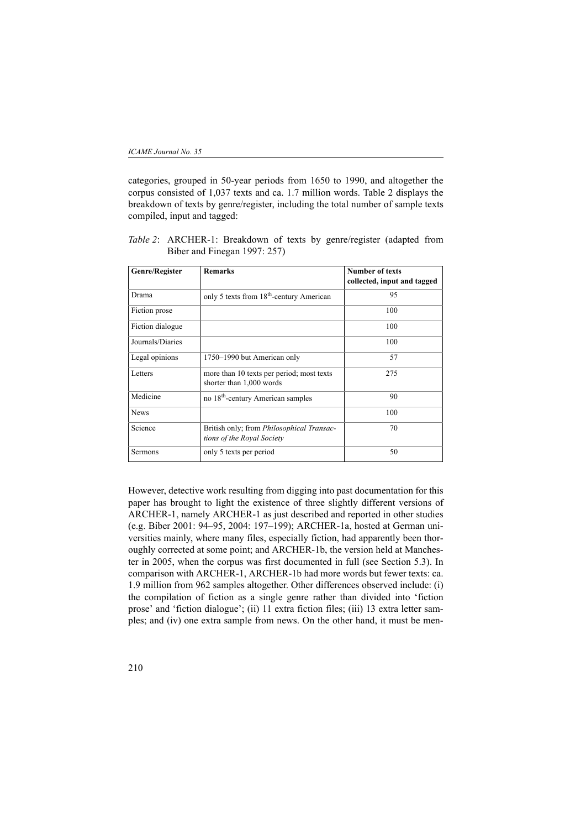categories, grouped in 50-year periods from 1650 to 1990, and altogether the corpus consisted of 1,037 texts and ca. 1.7 million words. Table 2 displays the breakdown of texts by genre/register, including the total number of sample texts compiled, input and tagged:

*Table 2*: ARCHER-1: Breakdown of texts by genre/register (adapted from Biber and Finegan 1997: 257)

| Genre/Register   | <b>Remarks</b>                                                                 | <b>Number of texts</b><br>collected, input and tagged |
|------------------|--------------------------------------------------------------------------------|-------------------------------------------------------|
| Drama            | only 5 texts from 18 <sup>th</sup> -century American                           | 95                                                    |
| Fiction prose    |                                                                                | 100                                                   |
| Fiction dialogue |                                                                                | 100                                                   |
| Journals/Diaries |                                                                                | 100                                                   |
| Legal opinions   | 1750-1990 but American only                                                    | 57                                                    |
| Letters          | more than 10 texts per period; most texts<br>shorter than 1,000 words          | 275                                                   |
| Medicine         | no 18 <sup>th</sup> -century American samples                                  | 90                                                    |
| <b>News</b>      |                                                                                | 100                                                   |
| Science          | British only; from <i>Philosophical Transac-</i><br>tions of the Royal Society | 70                                                    |
| Sermons          | only 5 texts per period                                                        | 50                                                    |

However, detective work resulting from digging into past documentation for this paper has brought to light the existence of three slightly different versions of ARCHER-1, namely ARCHER-1 as just described and reported in other studies (e.g. Biber 2001: 94–95, 2004: 197–199); ARCHER-1a, hosted at German universities mainly, where many files, especially fiction, had apparently been thoroughly corrected at some point; and ARCHER-1b, the version held at Manchester in 2005, when the corpus was first documented in full (see Section 5.3). In comparison with ARCHER-1, ARCHER-1b had more words but fewer texts: ca. 1.9 million from 962 samples altogether. Other differences observed include: (i) the compilation of fiction as a single genre rather than divided into 'fiction prose' and 'fiction dialogue'; (ii) 11 extra fiction files; (iii) 13 extra letter samples; and (iv) one extra sample from news. On the other hand, it must be men-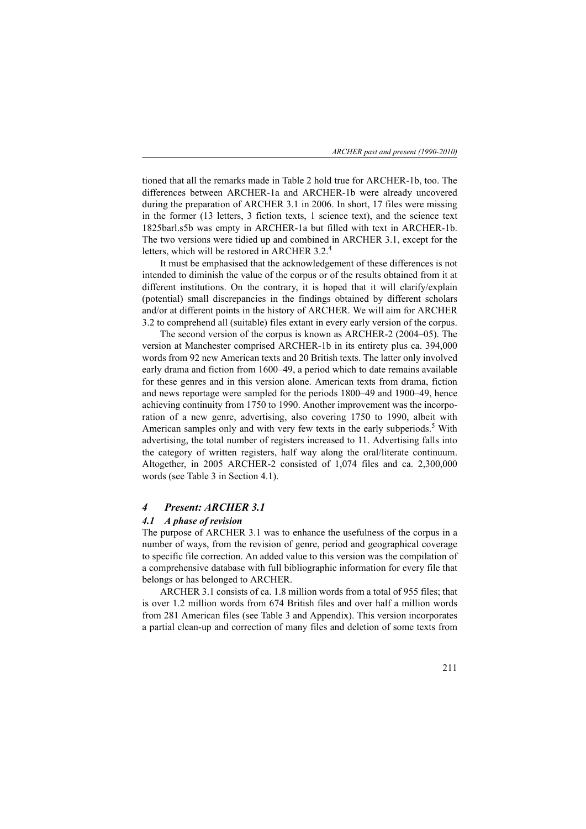*ARCHER past and present (1990-2010)*

tioned that all the remarks made in Table 2 hold true for ARCHER-1b, too. The differences between ARCHER-1a and ARCHER-1b were already uncovered during the preparation of ARCHER 3.1 in 2006. In short, 17 files were missing in the former (13 letters, 3 fiction texts, 1 science text), and the science text 1825barl.s5b was empty in ARCHER-1a but filled with text in ARCHER-1b. The two versions were tidied up and combined in ARCHER 3.1, except for the letters, which will be restored in ARCHER 3.2.<sup>4</sup>

It must be emphasised that the acknowledgement of these differences is not intended to diminish the value of the corpus or of the results obtained from it at different institutions. On the contrary, it is hoped that it will clarify/explain (potential) small discrepancies in the findings obtained by different scholars and/or at different points in the history of ARCHER. We will aim for ARCHER 3.2 to comprehend all (suitable) files extant in every early version of the corpus.

The second version of the corpus is known as ARCHER-2 (2004–05). The version at Manchester comprised ARCHER-1b in its entirety plus ca. 394,000 words from 92 new American texts and 20 British texts. The latter only involved early drama and fiction from 1600–49, a period which to date remains available for these genres and in this version alone. American texts from drama, fiction and news reportage were sampled for the periods 1800–49 and 1900–49, hence achieving continuity from 1750 to 1990. Another improvement was the incorporation of a new genre, advertising, also covering 1750 to 1990, albeit with American samples only and with very few texts in the early subperiods.<sup>5</sup> With advertising, the total number of registers increased to 11. Advertising falls into the category of written registers, half way along the oral/literate continuum. Altogether, in 2005 ARCHER-2 consisted of 1,074 files and ca. 2,300,000 words (see Table 3 in Section 4.1).

### *4 Present: ARCHER 3.1*

### *4.1 A phase of revision*

The purpose of ARCHER 3.1 was to enhance the usefulness of the corpus in a number of ways, from the revision of genre, period and geographical coverage to specific file correction. An added value to this version was the compilation of a comprehensive database with full bibliographic information for every file that belongs or has belonged to ARCHER.

ARCHER 3.1 consists of ca. 1.8 million words from a total of 955 files; that is over 1.2 million words from 674 British files and over half a million words from 281 American files (see Table 3 and Appendix). This version incorporates a partial clean-up and correction of many files and deletion of some texts from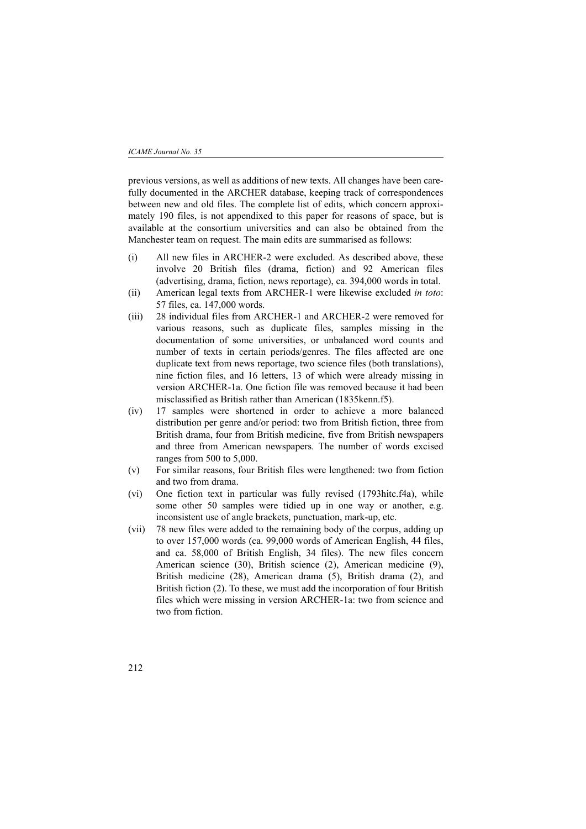previous versions, as well as additions of new texts. All changes have been carefully documented in the ARCHER database, keeping track of correspondences between new and old files. The complete list of edits, which concern approximately 190 files, is not appendixed to this paper for reasons of space, but is available at the consortium universities and can also be obtained from the Manchester team on request. The main edits are summarised as follows:

- (i) All new files in ARCHER-2 were excluded. As described above, these involve 20 British files (drama, fiction) and 92 American files (advertising, drama, fiction, news reportage), ca. 394,000 words in total.
- (ii) American legal texts from ARCHER-1 were likewise excluded *in toto*: 57 files, ca. 147,000 words.
- (iii) 28 individual files from ARCHER-1 and ARCHER-2 were removed for various reasons, such as duplicate files, samples missing in the documentation of some universities, or unbalanced word counts and number of texts in certain periods/genres. The files affected are one duplicate text from news reportage, two science files (both translations), nine fiction files, and 16 letters, 13 of which were already missing in version ARCHER-1a. One fiction file was removed because it had been misclassified as British rather than American (1835kenn.f5).
- (iv) 17 samples were shortened in order to achieve a more balanced distribution per genre and/or period: two from British fiction, three from British drama, four from British medicine, five from British newspapers and three from American newspapers. The number of words excised ranges from 500 to 5,000.
- (v) For similar reasons, four British files were lengthened: two from fiction and two from drama.
- (vi) One fiction text in particular was fully revised (1793hitc.f4a), while some other 50 samples were tidied up in one way or another, e.g. inconsistent use of angle brackets, punctuation, mark-up, etc.
- (vii) 78 new files were added to the remaining body of the corpus, adding up to over 157,000 words (ca. 99,000 words of American English, 44 files, and ca. 58,000 of British English, 34 files). The new files concern American science (30), British science (2), American medicine (9), British medicine (28), American drama (5), British drama (2), and British fiction (2). To these, we must add the incorporation of four British files which were missing in version ARCHER-1a: two from science and two from fiction.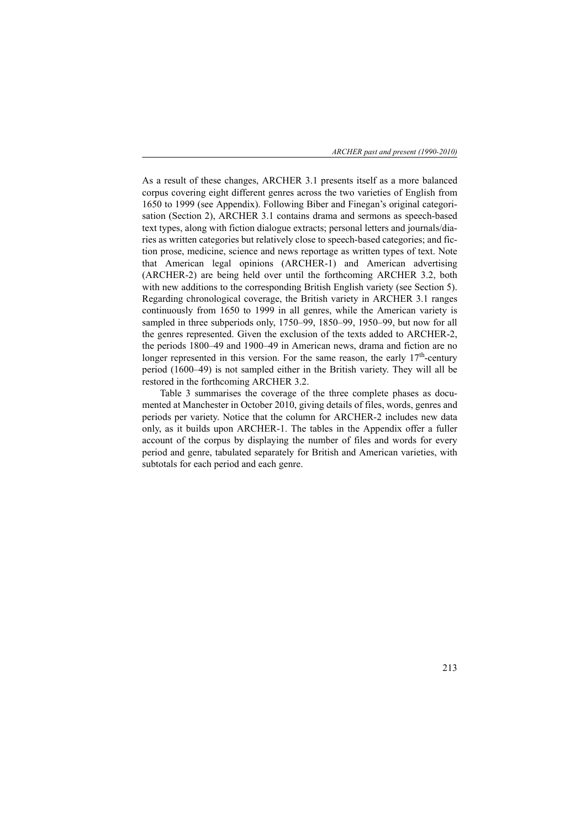*ARCHER past and present (1990-2010)*

As a result of these changes, ARCHER 3.1 presents itself as a more balanced corpus covering eight different genres across the two varieties of English from 1650 to 1999 (see Appendix). Following Biber and Finegan's original categorisation (Section 2), ARCHER 3.1 contains drama and sermons as speech-based text types, along with fiction dialogue extracts; personal letters and journals/diaries as written categories but relatively close to speech-based categories; and fiction prose, medicine, science and news reportage as written types of text. Note that American legal opinions (ARCHER-1) and American advertising (ARCHER-2) are being held over until the forthcoming ARCHER 3.2, both with new additions to the corresponding British English variety (see Section 5). Regarding chronological coverage, the British variety in ARCHER 3.1 ranges continuously from 1650 to 1999 in all genres, while the American variety is sampled in three subperiods only, 1750–99, 1850–99, 1950–99, but now for all the genres represented. Given the exclusion of the texts added to ARCHER-2, the periods 1800–49 and 1900–49 in American news, drama and fiction are no longer represented in this version. For the same reason, the early  $17<sup>th</sup>$ -century period (1600–49) is not sampled either in the British variety. They will all be restored in the forthcoming ARCHER 3.2.

Table 3 summarises the coverage of the three complete phases as documented at Manchester in October 2010, giving details of files, words, genres and periods per variety. Notice that the column for ARCHER-2 includes new data only, as it builds upon ARCHER-1. The tables in the Appendix offer a fuller account of the corpus by displaying the number of files and words for every period and genre, tabulated separately for British and American varieties, with subtotals for each period and each genre.

213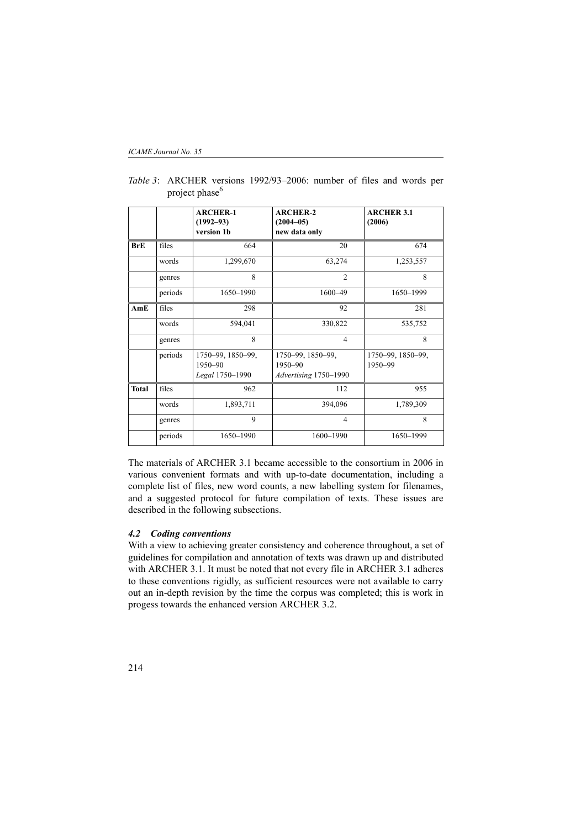|              |         | <b>ARCHER-1</b><br>$(1992 - 93)$<br>version 1b  | <b>ARCHER-2</b><br>$(2004 - 05)$<br>new data only     | <b>ARCHER 3.1</b><br>(2006)  |
|--------------|---------|-------------------------------------------------|-------------------------------------------------------|------------------------------|
| <b>BrE</b>   | files   | 664                                             | 20                                                    | 674                          |
|              | words   | 1,299,670                                       | 63,274                                                | 1,253,557                    |
|              | genres  | 8                                               | $\overline{2}$                                        | 8                            |
|              | periods | 1650-1990                                       | $1600 - 49$                                           | 1650-1999                    |
| AmE          | files   | 298                                             | 92                                                    | 281                          |
|              | words   | 594,041                                         | 330,822                                               | 535,752                      |
|              | genres  | 8                                               | $\overline{4}$                                        | 8                            |
|              | periods | 1750-99, 1850-99,<br>1950-90<br>Legal 1750-1990 | 1750-99, 1850-99,<br>1950-90<br>Advertising 1750-1990 | 1750-99, 1850-99,<br>1950-99 |
| <b>Total</b> | files   | 962                                             | 112                                                   | 955                          |
|              | words   | 1,893,711                                       | 394,096                                               | 1,789,309                    |
|              | genres  | 9                                               | $\overline{4}$                                        | $\mathbf{8}$                 |
|              | periods | 1650-1990                                       | 1600-1990                                             | 1650-1999                    |

*Table 3*: ARCHER versions 1992/93–2006: number of files and words per project phase<sup>6</sup>

The materials of ARCHER 3.1 became accessible to the consortium in 2006 in various convenient formats and with up-to-date documentation, including a complete list of files, new word counts, a new labelling system for filenames, and a suggested protocol for future compilation of texts. These issues are described in the following subsections.

# *4.2 Coding conventions*

With a view to achieving greater consistency and coherence throughout, a set of guidelines for compilation and annotation of texts was drawn up and distributed with ARCHER 3.1. It must be noted that not every file in ARCHER 3.1 adheres to these conventions rigidly, as sufficient resources were not available to carry out an in-depth revision by the time the corpus was completed; this is work in progess towards the enhanced version ARCHER 3.2.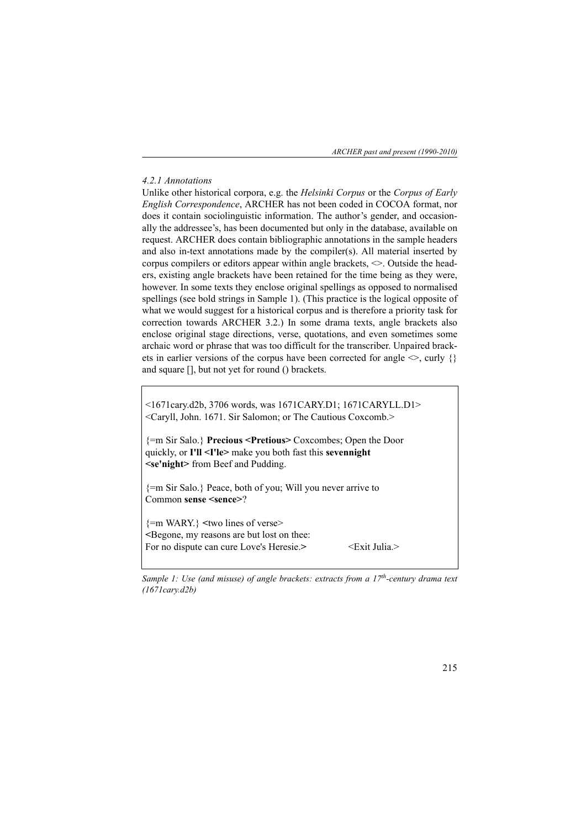*ARCHER past and present (1990-2010)*

### *4.2.1 Annotations*

Unlike other historical corpora, e.g. the *Helsinki Corpus* or the *Corpus of Early English Correspondence*, ARCHER has not been coded in COCOA format, nor does it contain sociolinguistic information. The author's gender, and occasionally the addressee's, has been documented but only in the database, available on request. ARCHER does contain bibliographic annotations in the sample headers and also in-text annotations made by the compiler(s). All material inserted by corpus compilers or editors appear within angle brackets,  $\leq$ . Outside the headers, existing angle brackets have been retained for the time being as they were, however. In some texts they enclose original spellings as opposed to normalised spellings (see bold strings in Sample 1). (This practice is the logical opposite of what we would suggest for a historical corpus and is therefore a priority task for correction towards ARCHER 3.2.) In some drama texts, angle brackets also enclose original stage directions, verse, quotations, and even sometimes some archaic word or phrase that was too difficult for the transcriber. Unpaired brackets in earlier versions of the corpus have been corrected for angle  $\leq$ , curly {} and square [], but not yet for round () brackets.

<1671cary.d2b, 3706 words, was 1671CARY.D1; 1671CARYLL.D1> <Caryll, John. 1671. Sir Salomon; or The Cautious Coxcomb.>

{=m Sir Salo.} **Precious <Pretious>** Coxcombes; Open the Door quickly, or **I'll <I'le>** make you both fast this **sevennight <se'night>** from Beef and Pudding.

{=m Sir Salo.} Peace, both of you; Will you never arrive to Common **sense <sence>**?

{=m WARY.} **<**two lines of verse> **<**Begone, my reasons are but lost on thee: For no dispute can cure Love's Heresie.>  $\leq$ Exit Julia.>

*Sample 1: Use (and misuse) of angle brackets: extracts from a 17<sup>th</sup>-century drama text (1671cary.d2b)*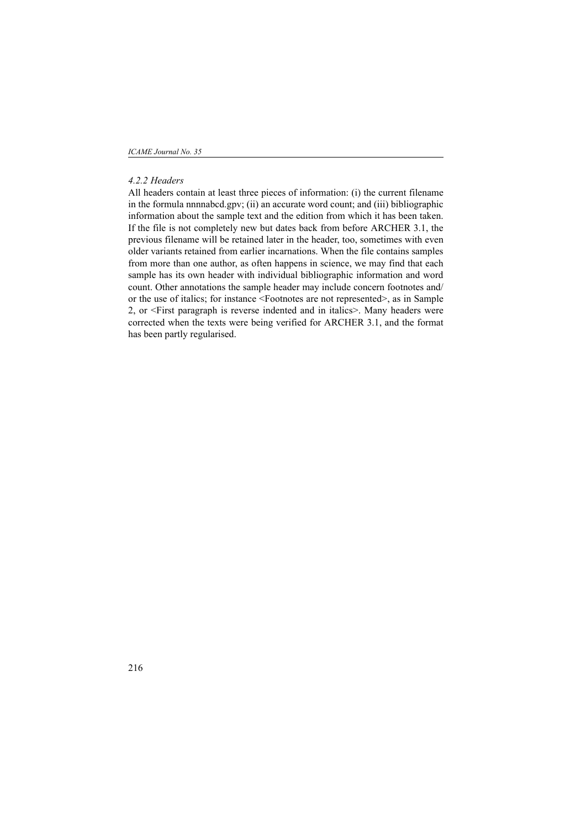*ICAME Journal No. 35*

## *4.2.2 Headers*

All headers contain at least three pieces of information: (i) the current filename in the formula nnnnabcd.gpv; (ii) an accurate word count; and (iii) bibliographic information about the sample text and the edition from which it has been taken. If the file is not completely new but dates back from before ARCHER 3.1, the previous filename will be retained later in the header, too, sometimes with even older variants retained from earlier incarnations. When the file contains samples from more than one author, as often happens in science, we may find that each sample has its own header with individual bibliographic information and word count. Other annotations the sample header may include concern footnotes and/ or the use of italics; for instance <Footnotes are not represented>, as in Sample 2, or <First paragraph is reverse indented and in italics>. Many headers were corrected when the texts were being verified for ARCHER 3.1, and the format has been partly regularised.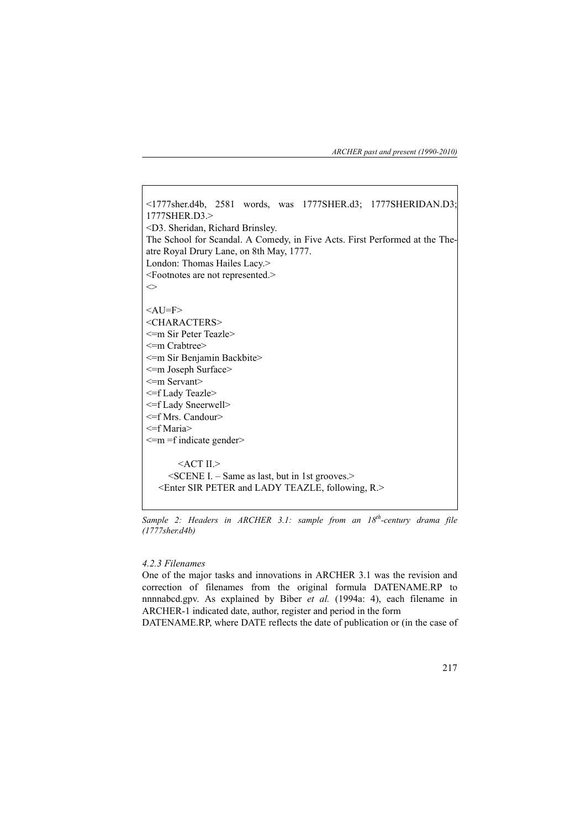*ARCHER past and present (1990-2010)*

<1777sher.d4b, 2581 words, was 1777SHER.d3; 1777SHERIDAN.D3; 1777SHER.D3.> <D3. Sheridan, Richard Brinsley. The School for Scandal. A Comedy, in Five Acts. First Performed at the Theatre Royal Drury Lane, on 8th May, 1777. London: Thomas Hailes Lacy.> <Footnotes are not represented.>  $\Diamond$  $<$ AU=F> <CHARACTERS> <=m Sir Peter Teazle> <=m Crabtree> <=m Sir Benjamin Backbite> <=m Joseph Surface> <=m Servant> <=f Lady Teazle> <=f Lady Sneerwell> <=f Mrs. Candour> <=f Maria>  $\leq m =$ f indicate gender  $ACT$  II. $>$  <SCENE I. – Same as last, but in 1st grooves.> <Enter SIR PETER and LADY TEAZLE, following, R.>

*Sample 2: Headers in ARCHER 3.1: sample from an 18th-century drama file (1777sher.d4b)*

### *4.2.3 Filenames*

One of the major tasks and innovations in ARCHER 3.1 was the revision and correction of filenames from the original formula DATENAME.RP to nnnnabcd.gpv. As explained by Biber *et al.* (1994a: 4), each filename in ARCHER-1 indicated date, author, register and period in the form

DATENAME.RP, where DATE reflects the date of publication or (in the case of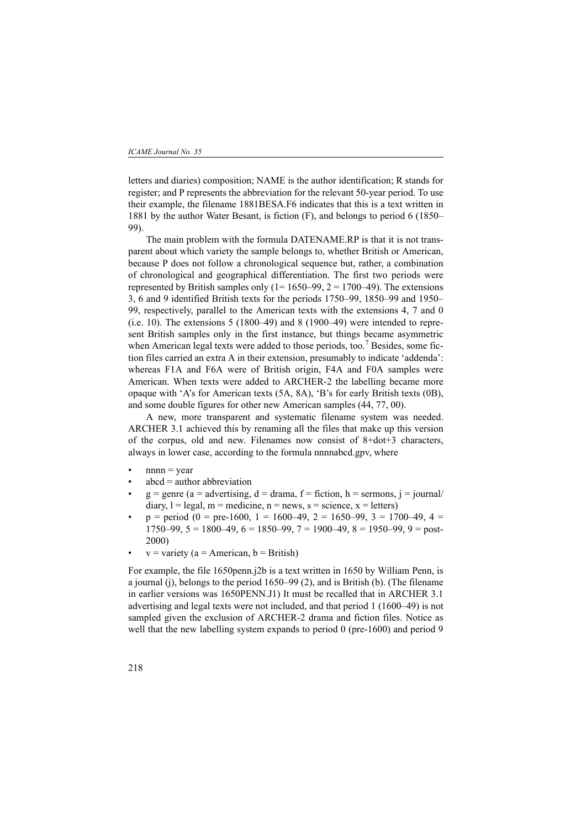letters and diaries) composition; NAME is the author identification; R stands for register; and P represents the abbreviation for the relevant 50-year period. To use their example, the filename 1881BESA.F6 indicates that this is a text written in 1881 by the author Water Besant, is fiction (F), and belongs to period 6 (1850– 99).

The main problem with the formula DATENAME.RP is that it is not transparent about which variety the sample belongs to, whether British or American, because P does not follow a chronological sequence but, rather, a combination of chronological and geographical differentiation. The first two periods were represented by British samples only  $(1=1650-99, 2=1700-49)$ . The extensions 3, 6 and 9 identified British texts for the periods 1750–99, 1850–99 and 1950– 99, respectively, parallel to the American texts with the extensions 4, 7 and 0 (i.e. 10). The extensions  $5(1800-49)$  and  $8(1900-49)$  were intended to represent British samples only in the first instance, but things became asymmetric when American legal texts were added to those periods, too.<sup>7</sup> Besides, some fiction files carried an extra A in their extension, presumably to indicate 'addenda': whereas F1A and F6A were of British origin, F4A and F0A samples were American. When texts were added to ARCHER-2 the labelling became more opaque with 'A's for American texts (5A, 8A), 'B's for early British texts (0B), and some double figures for other new American samples (44, 77, 00).

A new, more transparent and systematic filename system was needed. ARCHER 3.1 achieved this by renaming all the files that make up this version of the corpus, old and new. Filenames now consist of 8+dot+3 characters, always in lower case, according to the formula nnnnabcd.gpv, where

- $nnnn = *vear*$
- $abcd =$  author abbreviation
- $g =$  genre (a = advertising, d = drama, f = fiction, h = sermons, j = journal/ diary,  $l =$  legal,  $m =$  medicine,  $n =$  news,  $s =$  science,  $x =$  letters)
- $p = period (0 = pre-1600, 1 = 1600-49, 2 = 1650-99, 3 = 1700-49, 4 =$ 1750–99,  $5 = 1800-49$ ,  $6 = 1850-99$ ,  $7 = 1900-49$ ,  $8 = 1950-99$ ,  $9 =$  post-2000)
- $v =$  variety (a = American, b = British)

For example, the file 1650penn.j2b is a text written in 1650 by William Penn, is a journal (j), belongs to the period 1650–99 (2), and is British (b). (The filename in earlier versions was 1650PENN.J1) It must be recalled that in ARCHER 3.1 advertising and legal texts were not included, and that period 1 (1600–49) is not sampled given the exclusion of ARCHER-2 drama and fiction files. Notice as well that the new labelling system expands to period 0 (pre-1600) and period 9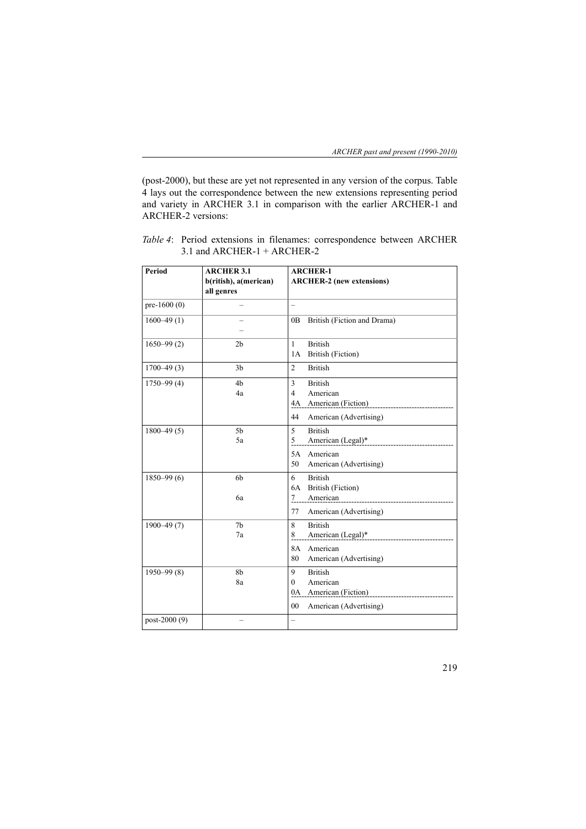(post-2000), but these are yet not represented in any version of the corpus. Table 4 lays out the correspondence between the new extensions representing period and variety in ARCHER 3.1 in comparison with the earlier ARCHER-1 and ARCHER-2 versions:

| Period         | <b>ARCHER 3.1</b><br>b(ritish), a(merican)<br>all genres | <b>ARCHER-1</b><br><b>ARCHER-2</b> (new extensions)                                                                                                                                                                                                                                                                                        |
|----------------|----------------------------------------------------------|--------------------------------------------------------------------------------------------------------------------------------------------------------------------------------------------------------------------------------------------------------------------------------------------------------------------------------------------|
| pre-1600 $(0)$ |                                                          | $\overline{\phantom{0}}$                                                                                                                                                                                                                                                                                                                   |
| $1600 - 49(1)$ |                                                          | British (Fiction and Drama)<br>0B                                                                                                                                                                                                                                                                                                          |
| $1650 - 99(2)$ | 2 <sub>b</sub>                                           | <b>British</b><br>$\mathbf{1}$<br>1A<br>British (Fiction)                                                                                                                                                                                                                                                                                  |
| $1700 - 49(3)$ | 3 <sub>b</sub>                                           | $\overline{2}$<br><b>British</b>                                                                                                                                                                                                                                                                                                           |
| $1750 - 99(4)$ | 4 <sub>b</sub><br>4a                                     | <b>British</b><br>3<br>$\overline{\mathcal{L}}$<br>American<br>4A American (Fiction)<br>-------------------------<br>American (Advertising)<br>44                                                                                                                                                                                          |
| $1800 - 49(5)$ | 5 <sub>b</sub><br>5a                                     | 5<br><b>British</b><br>5<br>5A American                                                                                                                                                                                                                                                                                                    |
|                |                                                          | 50<br>American (Advertising)                                                                                                                                                                                                                                                                                                               |
| $1850 - 99(6)$ | 6b<br>6a                                                 | <b>British</b><br>6<br><b>British (Fiction)</b><br>6A<br>American<br>$\frac{7}{2}$                                                                                                                                                                                                                                                         |
|                |                                                          | American (Advertising)<br>77                                                                                                                                                                                                                                                                                                               |
| $1900 - 49(7)$ | 7 <sub>b</sub><br>7a                                     | <b>British</b><br>8<br>8<br>8A American                                                                                                                                                                                                                                                                                                    |
|                |                                                          | 80<br>American (Advertising)                                                                                                                                                                                                                                                                                                               |
| $1950 - 99(8)$ | 8b<br>8a                                                 | <b>British</b><br>9<br>American<br>$\Omega$<br>0A American (Fiction)<br>1990 - American (Fiction)<br>1990 - American (Fiction)<br>1990 - American (Fiction)<br>1990 - American (Fiction)<br>1990 - American (Fiction)<br>1990 - American (Fiction)<br>1990 - American (Fiction)<br>1990 - Ame<br>00 <sup>1</sup><br>American (Advertising) |
| post-2000 (9)  |                                                          | $\overline{\phantom{0}}$                                                                                                                                                                                                                                                                                                                   |

*Table 4*: Period extensions in filenames: correspondence between ARCHER 3.1 and ARCHER-1 + ARCHER-2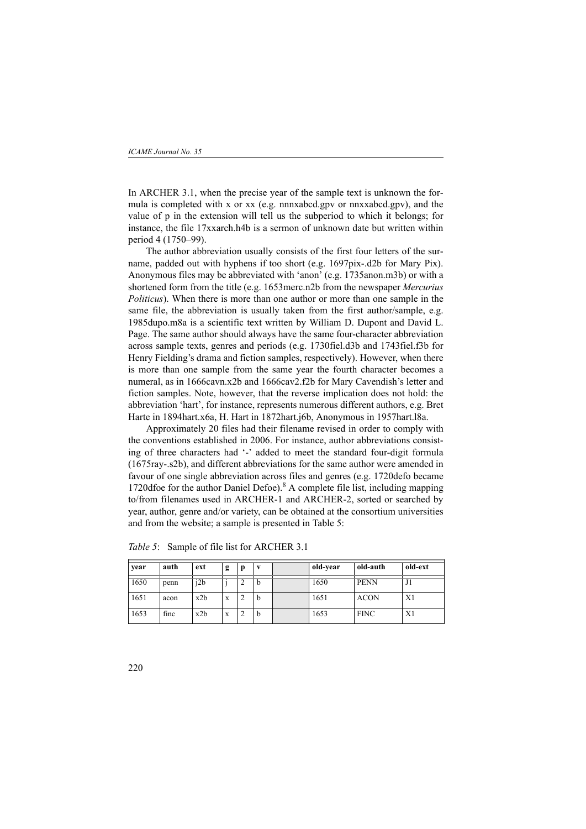In ARCHER 3.1, when the precise year of the sample text is unknown the formula is completed with x or xx (e.g. nnnxabcd.gpv or nnxxabcd.gpv), and the value of p in the extension will tell us the subperiod to which it belongs; for instance, the file 17xxarch.h4b is a sermon of unknown date but written within period 4 (1750–99).

The author abbreviation usually consists of the first four letters of the surname, padded out with hyphens if too short (e.g. 1697pix-.d2b for Mary Pix). Anonymous files may be abbreviated with 'anon' (e.g. 1735anon.m3b) or with a shortened form from the title (e.g. 1653merc.n2b from the newspaper *Mercurius Politicus*). When there is more than one author or more than one sample in the same file, the abbreviation is usually taken from the first author/sample, e.g. 1985dupo.m8a is a scientific text written by William D. Dupont and David L. Page. The same author should always have the same four-character abbreviation across sample texts, genres and periods (e.g. 1730fiel.d3b and 1743fiel.f3b for Henry Fielding's drama and fiction samples, respectively). However, when there is more than one sample from the same year the fourth character becomes a numeral, as in 1666cavn.x2b and 1666cav2.f2b for Mary Cavendish's letter and fiction samples. Note, however, that the reverse implication does not hold: the abbreviation 'hart', for instance, represents numerous different authors, e.g. Bret Harte in 1894hart.x6a, H. Hart in 1872hart.j6b, Anonymous in 1957hart.l8a.

Approximately 20 files had their filename revised in order to comply with the conventions established in 2006. For instance, author abbreviations consisting of three characters had '-' added to meet the standard four-digit formula (1675ray-.s2b), and different abbreviations for the same author were amended in favour of one single abbreviation across files and genres (e.g. 1720defo became 1720dfoe for the author Daniel Defoe).<sup>8</sup> A complete file list, including mapping to/from filenames used in ARCHER-1 and ARCHER-2, sorted or searched by year, author, genre and/or variety, can be obtained at the consortium universities and from the website; a sample is presented in Table 5:

| year | auth | ext | g | D |               | old-vear | old-auth    | old-ext |
|------|------|-----|---|---|---------------|----------|-------------|---------|
| 1650 | penn | i2b |   | ∠ | b             | 1650     | <b>PENN</b> | J1      |
| 1651 | acon | x2b | X | ∠ | $\mathfrak b$ | 1651     | <b>ACON</b> | X1      |
| 1653 | finc | x2b | X | ∠ | $\mathfrak b$ | 1653     | <b>FINC</b> | X1      |

*Table 5*: Sample of file list for ARCHER 3.1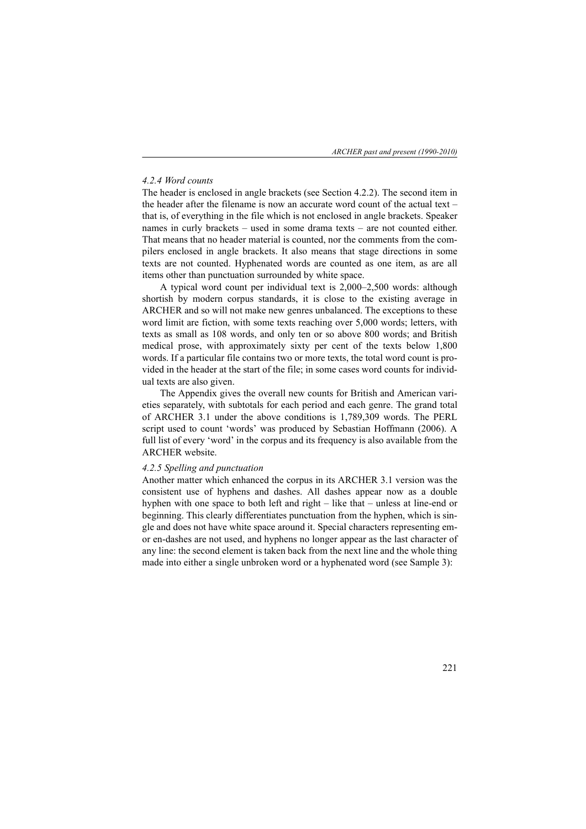# *4.2.4 Word counts*

The header is enclosed in angle brackets (see Section 4.2.2). The second item in the header after the filename is now an accurate word count of the actual text – that is, of everything in the file which is not enclosed in angle brackets. Speaker names in curly brackets – used in some drama texts – are not counted either. That means that no header material is counted, nor the comments from the compilers enclosed in angle brackets. It also means that stage directions in some texts are not counted. Hyphenated words are counted as one item, as are all items other than punctuation surrounded by white space.

A typical word count per individual text is 2,000–2,500 words: although shortish by modern corpus standards, it is close to the existing average in ARCHER and so will not make new genres unbalanced. The exceptions to these word limit are fiction, with some texts reaching over 5,000 words; letters, with texts as small as 108 words, and only ten or so above 800 words; and British medical prose, with approximately sixty per cent of the texts below 1,800 words. If a particular file contains two or more texts, the total word count is provided in the header at the start of the file; in some cases word counts for individual texts are also given.

The Appendix gives the overall new counts for British and American varieties separately, with subtotals for each period and each genre. The grand total of ARCHER 3.1 under the above conditions is 1,789,309 words. The PERL script used to count 'words' was produced by Sebastian Hoffmann (2006). A full list of every 'word' in the corpus and its frequency is also available from the ARCHER website.

### *4.2.5 Spelling and punctuation*

Another matter which enhanced the corpus in its ARCHER 3.1 version was the consistent use of hyphens and dashes. All dashes appear now as a double hyphen with one space to both left and right – like that – unless at line-end or beginning. This clearly differentiates punctuation from the hyphen, which is single and does not have white space around it. Special characters representing emor en-dashes are not used, and hyphens no longer appear as the last character of any line: the second element is taken back from the next line and the whole thing made into either a single unbroken word or a hyphenated word (see Sample 3):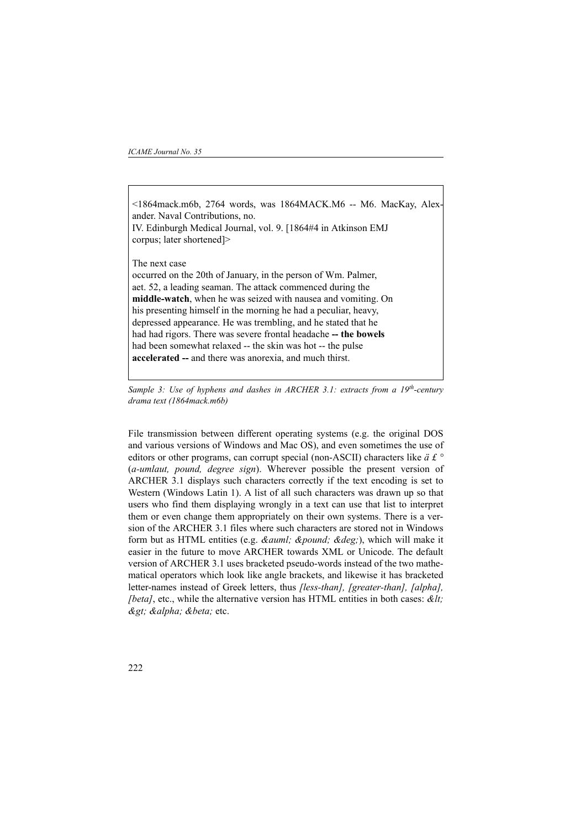### *ICAME Journal No. 35*

<1864mack.m6b, 2764 words, was 1864MACK.M6 -- M6. MacKay, Alexander. Naval Contributions, no. IV. Edinburgh Medical Journal, vol. 9. [1864#4 in Atkinson EMJ corpus; later shortened]> The next case occurred on the 20th of January, in the person of Wm. Palmer, aet. 52, a leading seaman. The attack commenced during the **middle-watch**, when he was seized with nausea and vomiting. On his presenting himself in the morning he had a peculiar, heavy, depressed appearance. He was trembling, and he stated that he had had rigors. There was severe frontal headache **-- the bowels** had been somewhat relaxed -- the skin was hot -- the pulse **accelerated --** and there was anorexia, and much thirst.

*Sample 3: Use of hyphens and dashes in ARCHER 3.1: extracts from a 19th-century drama text (1864mack.m6b)*

File transmission between different operating systems (e.g. the original DOS and various versions of Windows and Mac OS), and even sometimes the use of editors or other programs, can corrupt special (non-ASCII) characters like *ä £ °* (*a-umlaut, pound, degree sign*). Wherever possible the present version of ARCHER 3.1 displays such characters correctly if the text encoding is set to Western (Windows Latin 1). A list of all such characters was drawn up so that users who find them displaying wrongly in a text can use that list to interpret them or even change them appropriately on their own systems. There is a version of the ARCHER 3.1 files where such characters are stored not in Windows form but as HTML entities (e.g. *& auml; & pound; & deg;)*, which will make it easier in the future to move ARCHER towards XML or Unicode. The default version of ARCHER 3.1 uses bracketed pseudo-words instead of the two mathematical operators which look like angle brackets, and likewise it has bracketed letter-names instead of Greek letters, thus *[less-than], [greater-than], [alpha], (beta)*, etc., while the alternative version has HTML entities in both cases:  $\< \mathcal{U}t$ . > α β etc.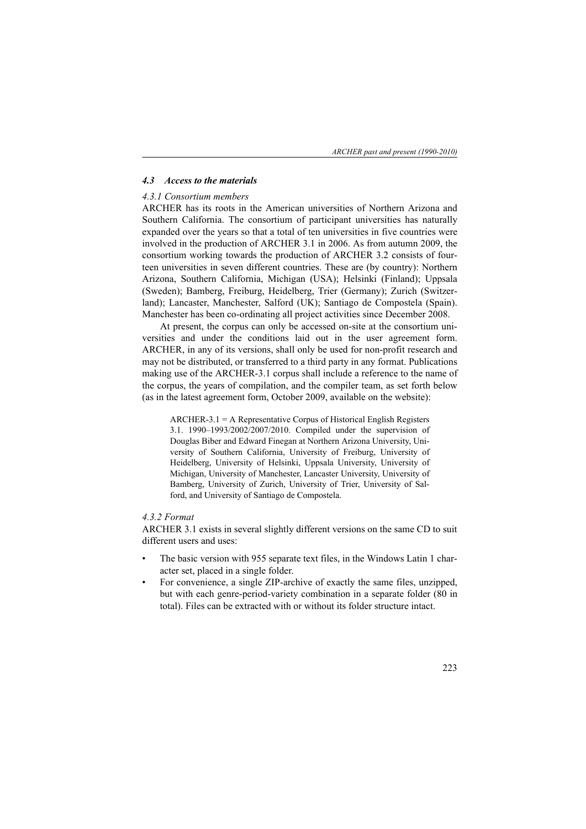## *4.3 Access to the materials*

### *4.3.1 Consortium members*

ARCHER has its roots in the American universities of Northern Arizona and Southern California. The consortium of participant universities has naturally expanded over the years so that a total of ten universities in five countries were involved in the production of ARCHER 3.1 in 2006. As from autumn 2009, the consortium working towards the production of ARCHER 3.2 consists of fourteen universities in seven different countries. These are (by country): Northern Arizona, Southern California, Michigan (USA); Helsinki (Finland); Uppsala (Sweden); Bamberg, Freiburg, Heidelberg, Trier (Germany); Zurich (Switzerland); Lancaster, Manchester, Salford (UK); Santiago de Compostela (Spain). Manchester has been co-ordinating all project activities since December 2008.

At present, the corpus can only be accessed on-site at the consortium universities and under the conditions laid out in the user agreement form. ARCHER, in any of its versions, shall only be used for non-profit research and may not be distributed, or transferred to a third party in any format. Publications making use of the ARCHER-3.1 corpus shall include a reference to the name of the corpus, the years of compilation, and the compiler team, as set forth below (as in the latest agreement form, October 2009, available on the website):

ARCHER-3.1 = A Representative Corpus of Historical English Registers 3.1. 1990–1993/2002/2007/2010. Compiled under the supervision of Douglas Biber and Edward Finegan at Northern Arizona University, University of Southern California, University of Freiburg, University of Heidelberg, University of Helsinki, Uppsala University, University of Michigan, University of Manchester, Lancaster University, University of Bamberg, University of Zurich, University of Trier, University of Salford, and University of Santiago de Compostela.

### *4.3.2 Format*

ARCHER 3.1 exists in several slightly different versions on the same CD to suit different users and uses:

- The basic version with 955 separate text files, in the Windows Latin 1 character set, placed in a single folder.
- For convenience, a single ZIP-archive of exactly the same files, unzipped, but with each genre-period-variety combination in a separate folder (80 in total). Files can be extracted with or without its folder structure intact.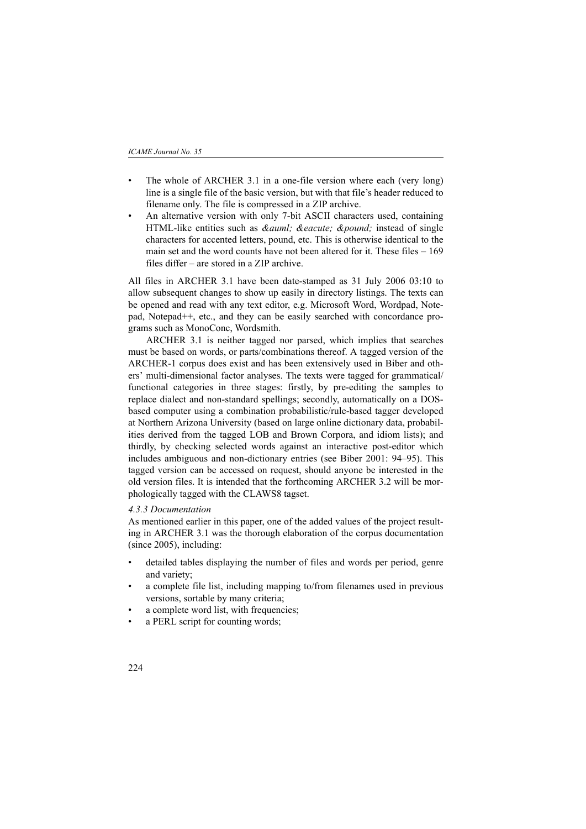- The whole of ARCHER 3.1 in a one-file version where each (very long) line is a single file of the basic version, but with that file's header reduced to filename only. The file is compressed in a ZIP archive.
- An alternative version with only 7-bit ASCII characters used, containing HTML-like entities such as *&auml*; *&eacute*; *&pound*; instead of single characters for accented letters, pound, etc. This is otherwise identical to the main set and the word counts have not been altered for it. These files – 169 files differ – are stored in a ZIP archive.

All files in ARCHER 3.1 have been date-stamped as 31 July 2006 03:10 to allow subsequent changes to show up easily in directory listings. The texts can be opened and read with any text editor, e.g. Microsoft Word, Wordpad, Notepad, Notepad++, etc., and they can be easily searched with concordance programs such as MonoConc, Wordsmith.

ARCHER 3.1 is neither tagged nor parsed, which implies that searches must be based on words, or parts/combinations thereof. A tagged version of the ARCHER-1 corpus does exist and has been extensively used in Biber and others' multi-dimensional factor analyses. The texts were tagged for grammatical/ functional categories in three stages: firstly, by pre-editing the samples to replace dialect and non-standard spellings; secondly, automatically on a DOSbased computer using a combination probabilistic/rule-based tagger developed at Northern Arizona University (based on large online dictionary data, probabilities derived from the tagged LOB and Brown Corpora, and idiom lists); and thirdly, by checking selected words against an interactive post-editor which includes ambiguous and non-dictionary entries (see Biber 2001: 94–95). This tagged version can be accessed on request, should anyone be interested in the old version files. It is intended that the forthcoming ARCHER 3.2 will be morphologically tagged with the CLAWS8 tagset.

### *4.3.3 Documentation*

As mentioned earlier in this paper, one of the added values of the project resulting in ARCHER 3.1 was the thorough elaboration of the corpus documentation (since 2005), including:

- detailed tables displaying the number of files and words per period, genre and variety;
- a complete file list, including mapping to/from filenames used in previous versions, sortable by many criteria;
- a complete word list, with frequencies;
- a PERL script for counting words;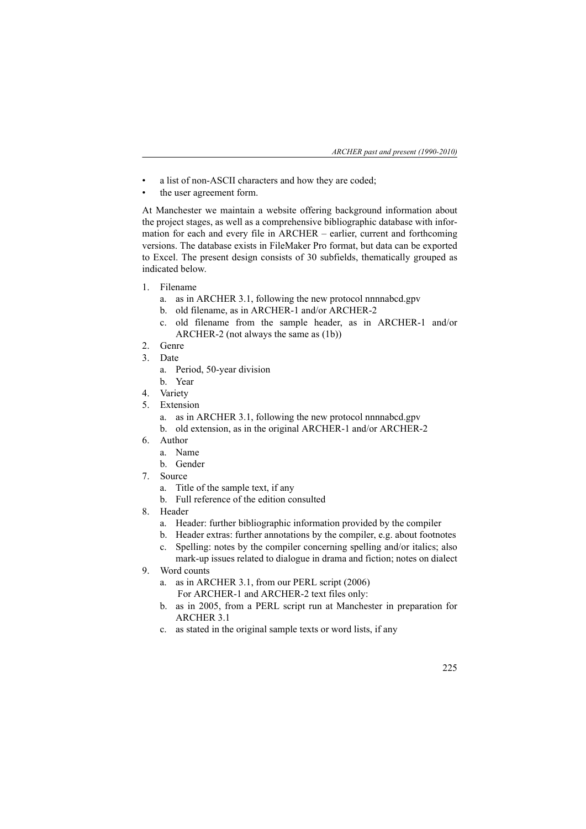- a list of non-ASCII characters and how they are coded;
- the user agreement form.

At Manchester we maintain a website offering background information about the project stages, as well as a comprehensive bibliographic database with information for each and every file in ARCHER – earlier, current and forthcoming versions. The database exists in FileMaker Pro format, but data can be exported to Excel. The present design consists of 30 subfields, thematically grouped as indicated below.

- 1. Filename
	- a. as in ARCHER 3.1, following the new protocol nnnnabcd.gpv
	- b. old filename, as in ARCHER-1 and/or ARCHER-2
	- c. old filename from the sample header, as in ARCHER-1 and/or ARCHER-2 (not always the same as (1b))
- 2. Genre
- 3. Date
	- a. Period, 50-year division
	- b. Year
- 4. Variety
- 5. Extension
	- a. as in ARCHER 3.1, following the new protocol nnnnabcd.gpv
	- b. old extension, as in the original ARCHER-1 and/or ARCHER-2
- 6. Author
	- a. Name
	- b. Gender
- 7. Source
	- a. Title of the sample text, if any
	- b. Full reference of the edition consulted
- 8. Header
	- a. Header: further bibliographic information provided by the compiler
	- b. Header extras: further annotations by the compiler, e.g. about footnotes
	- c. Spelling: notes by the compiler concerning spelling and/or italics; also
		- mark-up issues related to dialogue in drama and fiction; notes on dialect
- 9. Word counts
	- a. as in ARCHER 3.1, from our PERL script (2006)
		- For ARCHER-1 and ARCHER-2 text files only:
	- b. as in 2005, from a PERL script run at Manchester in preparation for ARCHER 3.1
	- c. as stated in the original sample texts or word lists, if any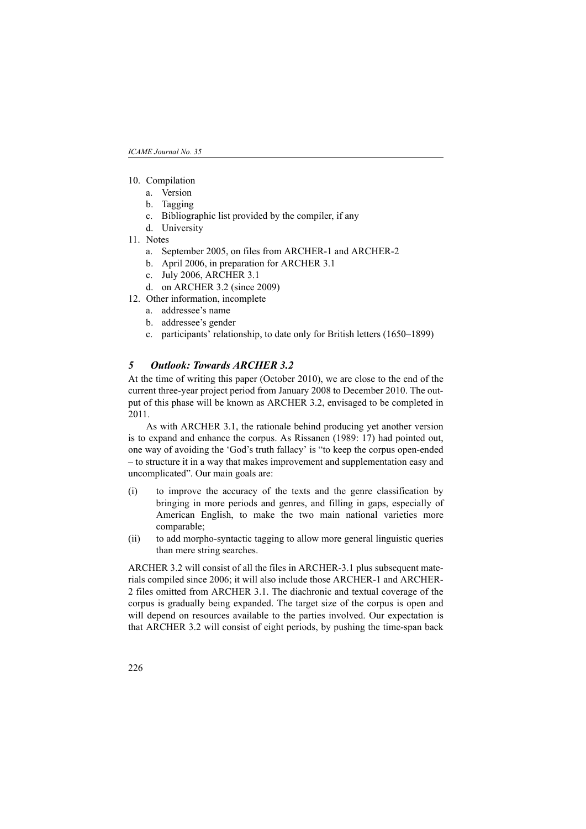- 10. Compilation
	- a. Version
	- b. Tagging
	- c. Bibliographic list provided by the compiler, if any
	- d. University
- 11. Notes
	- a. September 2005, on files from ARCHER-1 and ARCHER-2
	- b. April 2006, in preparation for ARCHER 3.1
	- c. July 2006, ARCHER 3.1
	- d. on ARCHER 3.2 (since 2009)
- 12. Other information, incomplete
	- a. addressee's name
	- b. addressee's gender
	- c. participants' relationship, to date only for British letters (1650–1899)

# *5 Outlook: Towards ARCHER 3.2*

At the time of writing this paper (October 2010), we are close to the end of the current three-year project period from January 2008 to December 2010. The output of this phase will be known as ARCHER 3.2, envisaged to be completed in 2011.

As with ARCHER 3.1, the rationale behind producing yet another version is to expand and enhance the corpus. As Rissanen (1989: 17) had pointed out, one way of avoiding the 'God's truth fallacy' is "to keep the corpus open-ended – to structure it in a way that makes improvement and supplementation easy and uncomplicated". Our main goals are:

- (i) to improve the accuracy of the texts and the genre classification by bringing in more periods and genres, and filling in gaps, especially of American English, to make the two main national varieties more comparable;
- (ii) to add morpho-syntactic tagging to allow more general linguistic queries than mere string searches.

ARCHER 3.2 will consist of all the files in ARCHER-3.1 plus subsequent materials compiled since 2006; it will also include those ARCHER-1 and ARCHER-2 files omitted from ARCHER 3.1. The diachronic and textual coverage of the corpus is gradually being expanded. The target size of the corpus is open and will depend on resources available to the parties involved. Our expectation is that ARCHER 3.2 will consist of eight periods, by pushing the time-span back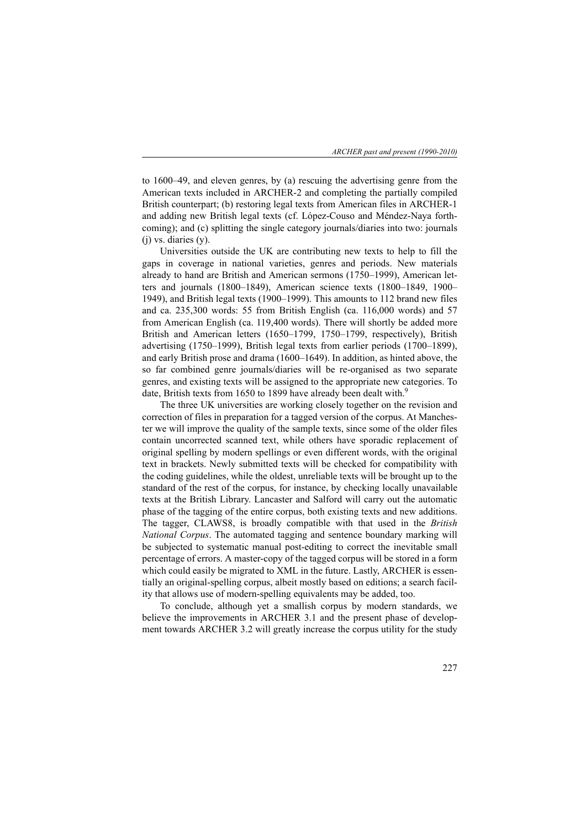to 1600–49, and eleven genres, by (a) rescuing the advertising genre from the American texts included in ARCHER-2 and completing the partially compiled British counterpart; (b) restoring legal texts from American files in ARCHER-1 and adding new British legal texts (cf. López-Couso and Méndez-Naya forthcoming); and (c) splitting the single category journals/diaries into two: journals  $(i)$  vs. diaries  $(v)$ .

Universities outside the UK are contributing new texts to help to fill the gaps in coverage in national varieties, genres and periods. New materials already to hand are British and American sermons (1750–1999), American letters and journals (1800–1849), American science texts (1800–1849, 1900– 1949), and British legal texts (1900–1999). This amounts to 112 brand new files and ca. 235,300 words: 55 from British English (ca. 116,000 words) and 57 from American English (ca. 119,400 words). There will shortly be added more British and American letters (1650–1799, 1750–1799, respectively), British advertising (1750–1999), British legal texts from earlier periods (1700–1899), and early British prose and drama (1600–1649). In addition, as hinted above, the so far combined genre journals/diaries will be re-organised as two separate genres, and existing texts will be assigned to the appropriate new categories. To date, British texts from 1650 to 1899 have already been dealt with.<sup>9</sup>

The three UK universities are working closely together on the revision and correction of files in preparation for a tagged version of the corpus. At Manchester we will improve the quality of the sample texts, since some of the older files contain uncorrected scanned text, while others have sporadic replacement of original spelling by modern spellings or even different words, with the original text in brackets. Newly submitted texts will be checked for compatibility with the coding guidelines, while the oldest, unreliable texts will be brought up to the standard of the rest of the corpus, for instance, by checking locally unavailable texts at the British Library. Lancaster and Salford will carry out the automatic phase of the tagging of the entire corpus, both existing texts and new additions. The tagger, CLAWS8, is broadly compatible with that used in the *British National Corpus*. The automated tagging and sentence boundary marking will be subjected to systematic manual post-editing to correct the inevitable small percentage of errors. A master-copy of the tagged corpus will be stored in a form which could easily be migrated to XML in the future. Lastly, ARCHER is essentially an original-spelling corpus, albeit mostly based on editions; a search facility that allows use of modern-spelling equivalents may be added, too.

To conclude, although yet a smallish corpus by modern standards, we believe the improvements in ARCHER 3.1 and the present phase of development towards ARCHER 3.2 will greatly increase the corpus utility for the study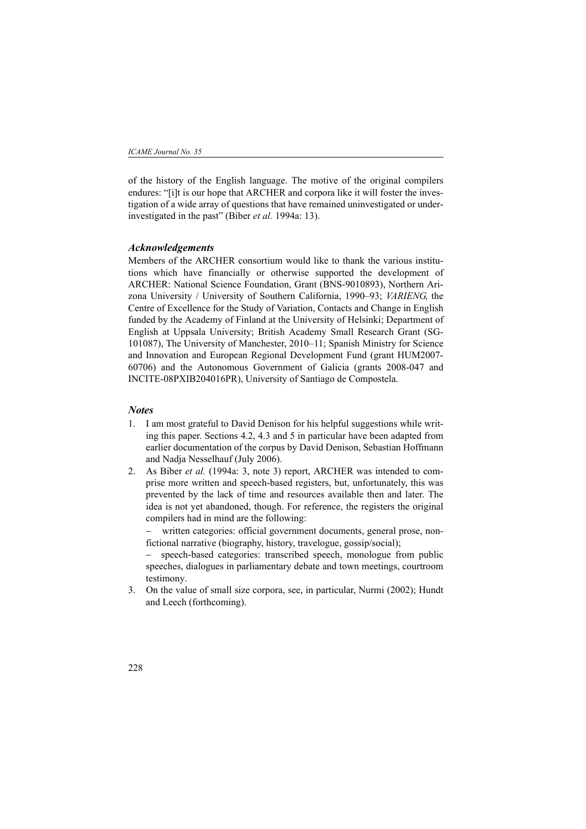of the history of the English language. The motive of the original compilers endures: "[i]t is our hope that ARCHER and corpora like it will foster the investigation of a wide array of questions that have remained uninvestigated or underinvestigated in the past" (Biber *et al.* 1994a: 13).

### *Acknowledgements*

Members of the ARCHER consortium would like to thank the various institutions which have financially or otherwise supported the development of ARCHER: National Science Foundation, Grant (BNS-9010893), Northern Arizona University / University of Southern California, 1990–93; *VARIENG*, the Centre of Excellence for the Study of Variation, Contacts and Change in English funded by the Academy of Finland at the University of Helsinki; Department of English at Uppsala University; British Academy Small Research Grant (SG-101087), The University of Manchester, 2010–11; Spanish Ministry for Science and Innovation and European Regional Development Fund (grant HUM2007- 60706) and the Autonomous Government of Galicia (grants 2008-047 and INCITE-08PXIB204016PR), University of Santiago de Compostela.

### *Notes*

- 1. I am most grateful to David Denison for his helpful suggestions while writing this paper. Sections 4.2, 4.3 and 5 in particular have been adapted from earlier documentation of the corpus by David Denison, Sebastian Hoffmann and Nadja Nesselhauf (July 2006).
- 2. As Biber *et al.* (1994a: 3, note 3) report, ARCHER was intended to comprise more written and speech-based registers, but, unfortunately, this was prevented by the lack of time and resources available then and later. The idea is not yet abandoned, though. For reference, the registers the original compilers had in mind are the following:

written categories: official government documents, general prose, nonfictional narrative (biography, history, travelogue, gossip/social);

speech-based categories: transcribed speech, monologue from public speeches, dialogues in parliamentary debate and town meetings, courtroom testimony.

3. On the value of small size corpora, see, in particular, Nurmi (2002); Hundt and Leech (forthcoming).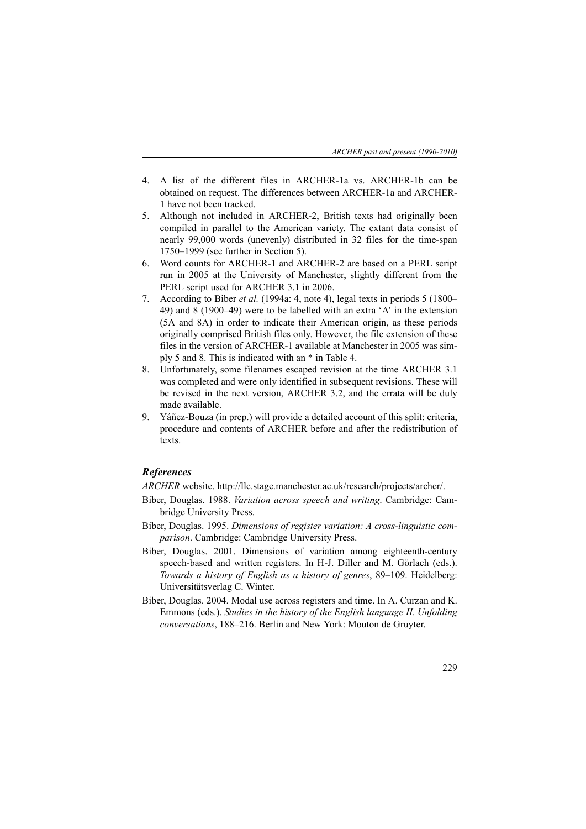- 4. A list of the different files in ARCHER-1a vs. ARCHER-1b can be obtained on request. The differences between ARCHER-1a and ARCHER-1 have not been tracked.
- 5. Although not included in ARCHER-2, British texts had originally been compiled in parallel to the American variety. The extant data consist of nearly 99,000 words (unevenly) distributed in 32 files for the time-span 1750–1999 (see further in Section 5).
- 6. Word counts for ARCHER-1 and ARCHER-2 are based on a PERL script run in 2005 at the University of Manchester, slightly different from the PERL script used for ARCHER 3.1 in 2006.
- 7. According to Biber *et al.* (1994a: 4, note 4), legal texts in periods 5 (1800– 49) and 8 (1900–49) were to be labelled with an extra 'A' in the extension (5A and 8A) in order to indicate their American origin, as these periods originally comprised British files only. However, the file extension of these files in the version of ARCHER-1 available at Manchester in 2005 was simply 5 and 8. This is indicated with an \* in Table 4.
- 8. Unfortunately, some filenames escaped revision at the time ARCHER 3.1 was completed and were only identified in subsequent revisions. These will be revised in the next version, ARCHER 3.2, and the errata will be duly made available.
- 9. Yáñez-Bouza (in prep.) will provide a detailed account of this split: criteria, procedure and contents of ARCHER before and after the redistribution of texts.

# *References*

*ARCHER* website. http://llc.stage.manchester.ac.uk/research/projects/archer/.

- Biber, Douglas. 1988. *Variation across speech and writing*. Cambridge: Cambridge University Press.
- Biber, Douglas. 1995. *Dimensions of register variation: A cross-linguistic comparison*. Cambridge: Cambridge University Press.
- Biber, Douglas. 2001. Dimensions of variation among eighteenth-century speech-based and written registers. In H-J. Diller and M. Görlach (eds.). *Towards a history of English as a history of genres*, 89–109. Heidelberg: Universitätsverlag C. Winter.
- Biber, Douglas. 2004. Modal use across registers and time. In A. Curzan and K. Emmons (eds.). *Studies in the history of the English language II. Unfolding conversations*, 188–216. Berlin and New York: Mouton de Gruyter.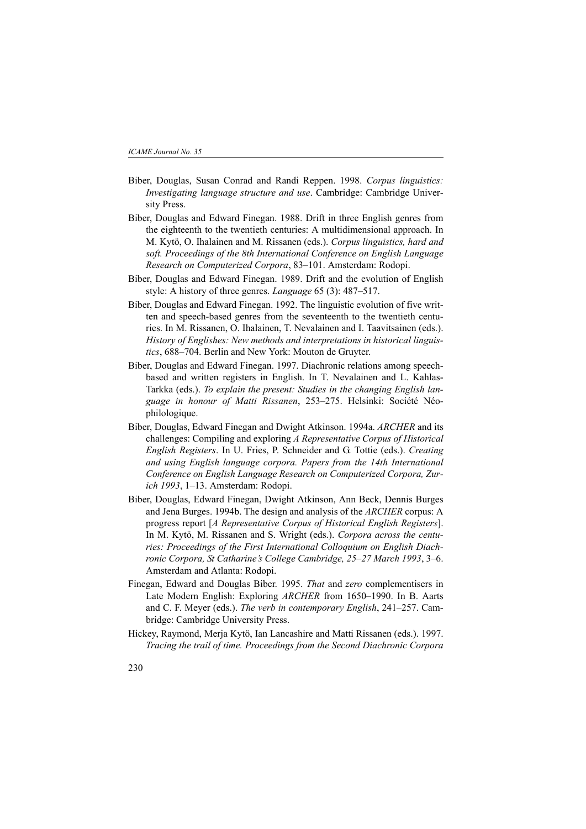- Biber, Douglas, Susan Conrad and Randi Reppen. 1998. *Corpus linguistics: Investigating language structure and use*. Cambridge: Cambridge University Press.
- Biber, Douglas and Edward Finegan. 1988. Drift in three English genres from the eighteenth to the twentieth centuries: A multidimensional approach. In M. Kytö, O. Ihalainen and M. Rissanen (eds.). *Corpus linguistics, hard and soft. Proceedings of the 8th International Conference on English Language Research on Computerized Corpora*, 83–101. Amsterdam: Rodopi.
- Biber, Douglas and Edward Finegan. 1989. Drift and the evolution of English style: A history of three genres. *Language* 65 (3): 487–517.
- Biber, Douglas and Edward Finegan. 1992. The linguistic evolution of five written and speech-based genres from the seventeenth to the twentieth centuries. In M. Rissanen, O. Ihalainen, T. Nevalainen and I. Taavitsainen (eds.). *History of Englishes: New methods and interpretations in historical linguistics*, 688–704. Berlin and New York: Mouton de Gruyter.
- Biber, Douglas and Edward Finegan. 1997. Diachronic relations among speechbased and written registers in English. In T. Nevalainen and L. Kahlas-Tarkka (eds.). *To explain the present: Studies in the changing English language in honour of Matti Rissanen*, 253–275. Helsinki: Société Néophilologique.
- Biber, Douglas, Edward Finegan and Dwight Atkinson. 1994a. *ARCHER* and its challenges: Compiling and exploring *A Representative Corpus of Historical English Registers*. In U. Fries, P. Schneider and G. Tottie (eds.). *Creating and using English language corpora. Papers from the 14th International Conference on English Language Research on Computerized Corpora, Zurich 1993*, 1–13. Amsterdam: Rodopi.
- Biber, Douglas, Edward Finegan, Dwight Atkinson, Ann Beck, Dennis Burges and Jena Burges. 1994b. The design and analysis of the *ARCHER* corpus: A progress report [*A Representative Corpus of Historical English Registers*]. In M. Kytö, M. Rissanen and S. Wright (eds.). *Corpora across the centuries: Proceedings of the First International Colloquium on English Diachronic Corpora, St Catharine's College Cambridge, 25–27 March 1993*, 3–6. Amsterdam and Atlanta: Rodopi.
- Finegan, Edward and Douglas Biber. 1995. *That* and *zero* complementisers in Late Modern English: Exploring *ARCHER* from 1650–1990. In B. Aarts and C. F. Meyer (eds.). *The verb in contemporary English*, 241–257. Cambridge: Cambridge University Press.
- Hickey, Raymond, Merja Kytö, Ian Lancashire and Matti Rissanen (eds.). 1997. *Tracing the trail of time. Proceedings from the Second Diachronic Corpora*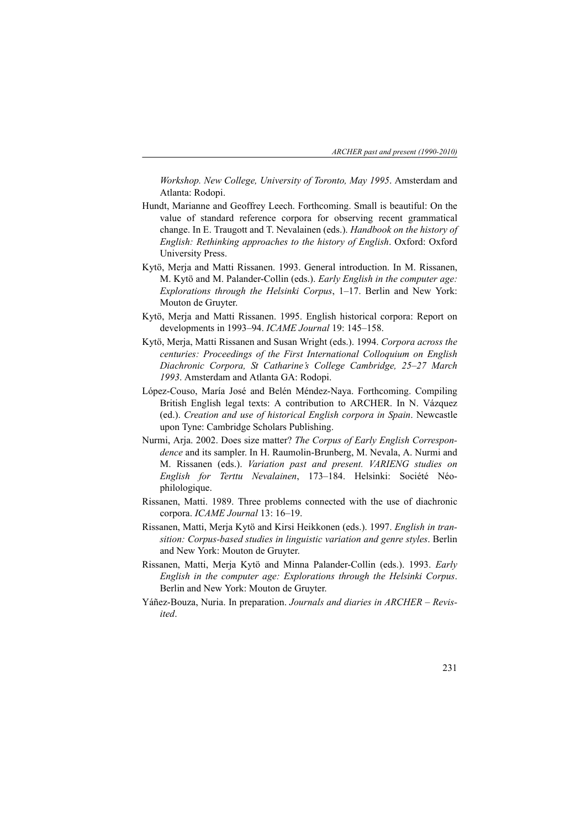*Workshop. New College, University of Toronto, May 1995*. Amsterdam and Atlanta: Rodopi.

- Hundt, Marianne and Geoffrey Leech. Forthcoming. Small is beautiful: On the value of standard reference corpora for observing recent grammatical change. In E. Traugott and T. Nevalainen (eds.). *Handbook on the history of English: Rethinking approaches to the history of English*. Oxford: Oxford University Press.
- Kytö, Merja and Matti Rissanen. 1993. General introduction. In M. Rissanen, M. Kytö and M. Palander-Collin (eds.). *Early English in the computer age: Explorations through the Helsinki Corpus*, 1–17. Berlin and New York: Mouton de Gruyter.
- Kytö, Merja and Matti Rissanen. 1995. English historical corpora: Report on developments in 1993–94. *ICAME Journal* 19: 145–158.
- Kytö, Merja, Matti Rissanen and Susan Wright (eds.). 1994. *Corpora across the centuries: Proceedings of the First International Colloquium on English Diachronic Corpora, St Catharine's College Cambridge, 25–27 March 1993*. Amsterdam and Atlanta GA: Rodopi.
- López-Couso, María José and Belén Méndez-Naya. Forthcoming. Compiling British English legal texts: A contribution to ARCHER. In N. Vázquez (ed.). *Creation and use of historical English corpora in Spain*. Newcastle upon Tyne: Cambridge Scholars Publishing.
- Nurmi, Arja. 2002. Does size matter? *The Corpus of Early English Correspondence* and its sampler. In H. Raumolin-Brunberg, M. Nevala, A. Nurmi and M. Rissanen (eds.). *Variation past and present. VARIENG studies on English for Terttu Nevalainen*, 173–184. Helsinki: Société Néophilologique.
- Rissanen, Matti. 1989. Three problems connected with the use of diachronic corpora. *ICAME Journal* 13: 16–19.
- Rissanen, Matti, Merja Kytö and Kirsi Heikkonen (eds.). 1997. *English in transition: Corpus-based studies in linguistic variation and genre styles*. Berlin and New York: Mouton de Gruyter.
- Rissanen, Matti, Merja Kytö and Minna Palander-Collin (eds.). 1993. *Early English in the computer age: Explorations through the Helsinki Corpus*. Berlin and New York: Mouton de Gruyter.
- Yáñez-Bouza, Nuria. In preparation. *Journals and diaries in ARCHER Revisited*.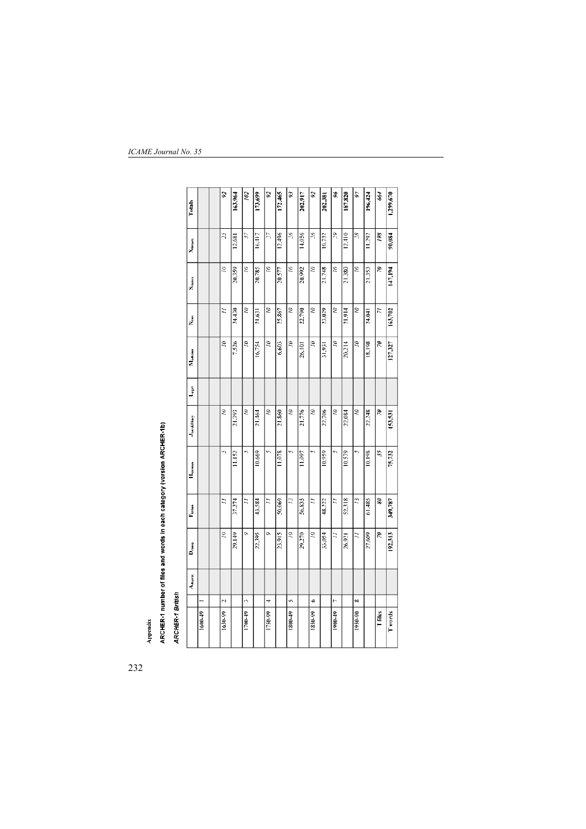| Totals                       |             | $\overline{\mathcal{S}}$<br>$25 \,$ | 163,964 | 102<br>57   | 13,699 | $\overline{\mathbf{S}}$<br>55 | 172,465 | Ż<br>$g_c^{\prime}$ | 202,917 | $\mathbf{z}$<br>gζ | 202,381 | \$<br>δć    | 187,820 | 56<br>$\frac{8}{2}$ | 196,424 | 664                     | 1,299,670     |
|------------------------------|-------------|-------------------------------------|---------|-------------|--------|-------------------------------|---------|---------------------|---------|--------------------|---------|-------------|---------|---------------------|---------|-------------------------|---------------|
| Xierrers                     |             |                                     | 12.681  |             | 16,417 |                               | 12.496  |                     | 14,056  |                    | 10.732  |             | 12.410  |                     | 11,292  | $\frac{3}{2}$           | 90,084        |
| S <sub>rience</sub>          |             | S                                   | 20.359  | $\tilde{z}$ | 20,785 | Ξ                             | 20,577  | ξ                   | 20,992  | S                  | 21,748  | $\tilde{z}$ | 21,380  | Ξ                   | 21,353  | S.                      | 147,194       |
| ر<br>ح                       |             | ž                                   | 24,430  | Ξ           | 21,631 | Ξ                             | 25.867  | Ξ                   | 22,790  | Ξ                  | 23.029  | Ξ           | 21,914  | Ξ                   | 24,041  | ≂                       | 163,702       |
| Medicine                     |             | S                                   | 7,526   | Ξ           | 16.754 | S                             | 6.603   | Ξ                   | 26.101  | ă                  | 31,931  | Ξ           | 20,214  | S                   | 18.198  | 2                       | 127,327       |
| $L_{\rm gal}$                |             |                                     |         |             |        |                               |         |                     |         |                    |         |             |         |                     |         |                         |               |
| Jour&Diary                   |             | Ξ                                   | 21.393  | Ξ           | 21,464 | Ξ                             | 21,860  | Ξ                   | 21,776  | Ξ                  | 22,706  | ξ           | 22.084  | Ξ                   | 22,248  | R                       | 153,531       |
| $\mathbf{H}_{\text{germon}}$ |             | Î'n,                                | 11.152  | h           | 10.669 | m,                            | 11,078  |                     | 11,097  | m                  | 10.959  | ŋ           | 10.579  | m,                  | 10,198  | $\overline{\mathbf{3}}$ | 75,732        |
| $\Gamma_{\rm{iction}}$       |             | Ξ                                   | 37.274  | ≒           | 43,584 | ≍                             | 50.069  | 2                   | 56.835  | ≈                  | 48,222  | ž           | 52,318  | 2                   | 61,485  | S.                      | 349,787       |
| $D_{\rm cross}$              |             | É                                   | 29,149  | Ò,          | 22.395 | Ò,                            | 23,915  | ξ                   | 29,270  | ξ                  | 33.054  | Ξ           | 26,921  | ミ                   | 27,609  | R                       | 192,313       |
| Adverts                      |             |                                     |         |             |        |                               |         |                     |         |                    |         |             |         |                     |         |                         |               |
|                              |             | $\sim$                              |         | ò           |        | 4                             |         | Ÿ,                  |         | ÷                  |         | r.          |         | ∞                   |         |                         |               |
|                              | $1600 - 49$ | 1650-99                             |         | 1700-49     |        | 1750-99                       |         | (64.0081)           |         | 1850-99            |         | 1900-49     |         | 1950-00             |         | T files                 | <b>Twords</b> |

ARCHER-1 number of files and words in each category (version ARCHER-1b)

Appendix

**ARCHER-1 British** 

# *ICAME Journal No. 35*

232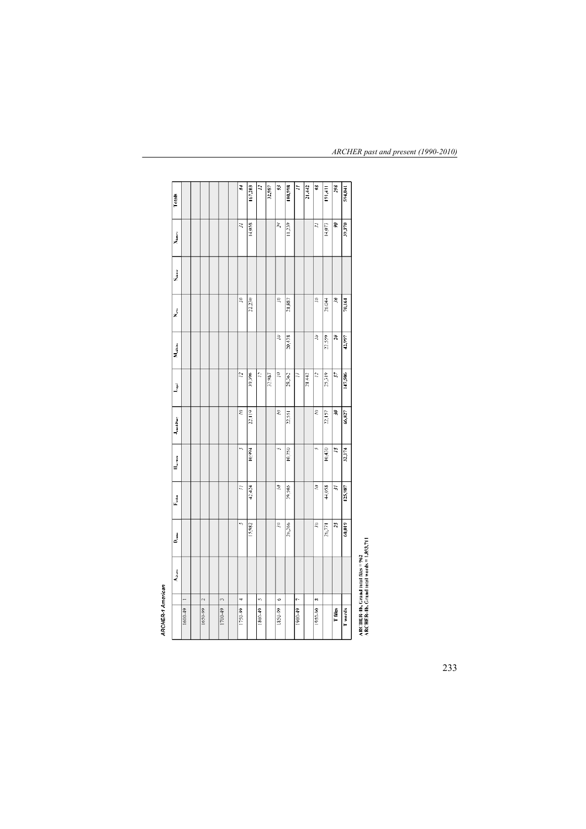| Totals                        |         |         |         | 84      | 167,203 | $\ddot{z}$ | 32,987 | 3       | 180,998 | $\ddot{=}$ | 21,442 | X       | 191,411 | 298        | 594,041 |                                               |
|-------------------------------|---------|---------|---------|---------|---------|------------|--------|---------|---------|------------|--------|---------|---------|------------|---------|-----------------------------------------------|
| <b>News</b>                   |         |         |         | Ę       | 14,058  |            |        | X       | 11.239  |            |        | R       | 14,073  | S          | 39,370  |                                               |
| $S_{\rm demec}$               |         |         |         |         |         |            |        |         |         |            |        |         |         |            |         |                                               |
| ż                             |         |         |         | g       | 22,230  |            |        | g       | 21,887  |            |        | ĝ       | 26,044  | L          | 70,161  |                                               |
| $M_{\rm stellar}$             |         |         |         |         |         |            |        | g       | 20,438  |            |        | ŝ       | 22.559  | 20         | 42,997  |                                               |
| $\bar{\vec{J}}$               |         |         |         | 2       | 39,396  | 2          | 32,987 | g       | 28,362  | Ξ          | 21,442 | 2       | 25,319  | 57         | 147,506 |                                               |
| J <sub>oin</sub> sbiary       |         |         |         | ĝ       | 22,119  |            |        | ξ       | 22,551  |            |        | É,      | 22,157  | S.         | 66,827  |                                               |
| $\mathbf{H}_{\text{setflow}}$ |         |         |         | i,      | 10,994  |            |        | ŵ,      | 10,750  |            |        | ŵ,      | 10,430  | 5          | 32,174  |                                               |
| $\Gamma_{\rm lcdon}$          |         |         |         | E       | 42,424  |            |        | ξ       | 39,505  |            |        | g       | 44,058  | $\ddot{ }$ | 125,987 |                                               |
|                               |         |         |         | ĥ,      | 15,982  |            |        | 20      | 26,266  |            |        | ž,      | 26,771  | $\ddot{z}$ | 60,019  |                                               |
| <b>Adverts</b>                |         |         |         |         |         |            |        |         |         |            |        |         |         |            |         |                                               |
|                               |         | $\sim$  | m       |         |         | v,         |        | Ó       |         | è          |        | œ       |         |            |         |                                               |
|                               | 1600-49 | 1650-99 | 1700-49 | 1750-99 |         | 1800.49    |        | 1850-99 |         | 1900-49    |        | 1950.90 |         | T files    | T words | $\triangle$ RCHER-th. Cread total files = 967 |

*ARCHER past and present (1990-2010)*

**ARCHER-1 American** 

ARCHER-Ib, Grand total files = 962<br>ARCHER-Ib, Grand total words = 1,893,711

233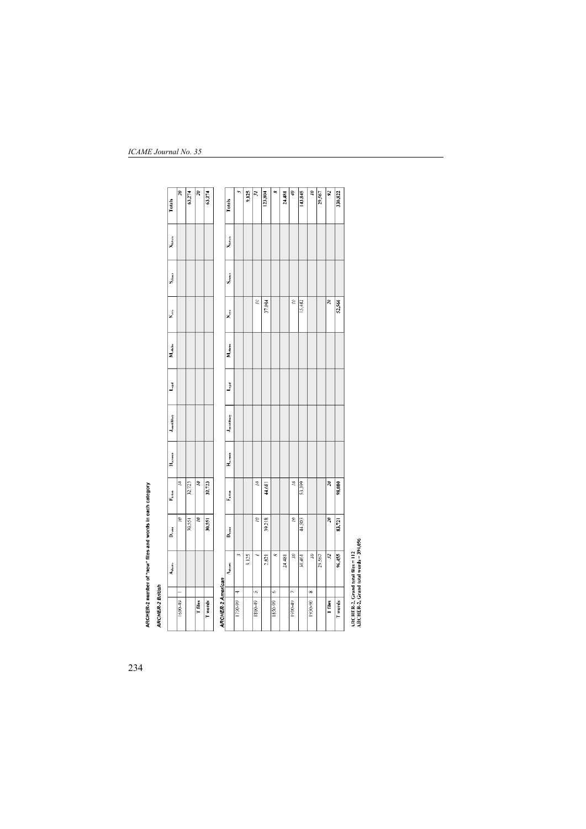| ã<br>Ś,<br>Ż<br>39,218<br>30,551<br>30,551<br>$D_{\text{mean}}$<br>$\ddot{\phantom{1}}$<br>9,125<br>2.821<br>Adverts<br>n<br>4<br>T files<br>T words<br>180049<br>1600-49<br>1750-99 | Š,<br>2<br>Ξ<br>32.723<br>32,723<br>$F_{\rm intra}$ | $H_{\kappa r}$ mon | <b>Journal</b> | j |                |                       |                       |                    | $\tilde{\mathcal{E}}$       |
|--------------------------------------------------------------------------------------------------------------------------------------------------------------------------------------|-----------------------------------------------------|--------------------|----------------|---|----------------|-----------------------|-----------------------|--------------------|-----------------------------|
|                                                                                                                                                                                      |                                                     |                    |                |   |                |                       |                       |                    |                             |
|                                                                                                                                                                                      |                                                     |                    |                |   |                |                       |                       |                    | 63,274                      |
| <b>ARCHER-2 American</b>                                                                                                                                                             |                                                     |                    |                |   |                |                       |                       |                    | $\tilde{\mathbf{z}}$        |
|                                                                                                                                                                                      |                                                     |                    |                |   |                |                       |                       |                    | 63,274                      |
|                                                                                                                                                                                      |                                                     |                    |                |   |                |                       |                       |                    |                             |
|                                                                                                                                                                                      |                                                     |                    |                |   | $M_{\rm cdim}$ | X.                    | $S_{\text{transfer}}$ | X <sub>ktren</sub> | Totals                      |
|                                                                                                                                                                                      |                                                     |                    |                |   |                |                       |                       |                    | m                           |
|                                                                                                                                                                                      |                                                     |                    |                |   |                |                       |                       |                    | 9,125                       |
|                                                                                                                                                                                      |                                                     |                    |                |   |                | Ξ                     |                       |                    | $\tilde{\mathbf{z}}$        |
|                                                                                                                                                                                      | 44,681                                              |                    |                |   |                | 37.084                |                       |                    | 123,804                     |
| œ<br>¢<br>1850-99                                                                                                                                                                    |                                                     |                    |                |   |                |                       |                       |                    | œ                           |
| 24,481                                                                                                                                                                               |                                                     |                    |                |   |                |                       |                       |                    | 24,481                      |
| $\tilde{z}$<br>Ξ<br>r,<br>1900-49                                                                                                                                                    | $\tilde{z}$                                         |                    |                |   |                | $\epsilon$            |                       |                    | ø                           |
| 44,503<br>30.461                                                                                                                                                                     | 53,399                                              |                    |                |   |                | 15,482                |                       |                    | 143,845                     |
| ś<br>∞<br>1950-90                                                                                                                                                                    |                                                     |                    |                |   |                |                       |                       |                    | $\tilde{z}$                 |
| 29,567                                                                                                                                                                               |                                                     |                    |                |   |                |                       |                       |                    | 29,567                      |
| $\tilde{\mathcal{E}}$<br>$\ddot{3}$<br>T files                                                                                                                                       | 20                                                  |                    |                |   |                | $\tilde{\mathcal{E}}$ |                       |                    | $\overline{\boldsymbol{z}}$ |
| 83,721<br>96,455<br>Twords                                                                                                                                                           | 98,080                                              |                    |                |   |                | 52,566                |                       |                    | 330,822                     |

*ICAME Journal No. 35*

234

ARCHER-2 number of "new" files and words in each category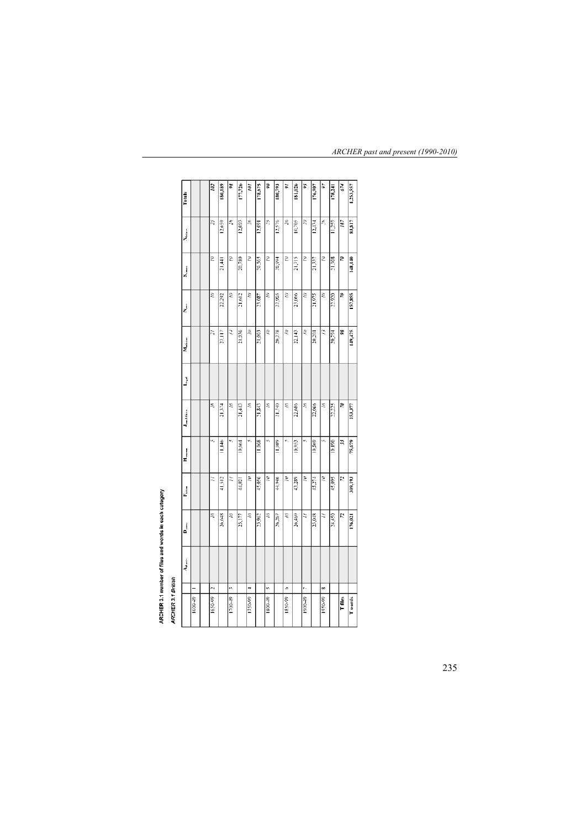| Totals                 |         | 102     | 180,189        | X      | 177,726 | $\tilde{\mathcal{E}}$ | 178.675 | ε       | 180,793 | ã         | 181,026 | Ç,      | 176,907 | 56      | 138,241 | 674   | 1,253,357 |
|------------------------|---------|---------|----------------|--------|---------|-----------------------|---------|---------|---------|-----------|---------|---------|---------|---------|---------|-------|-----------|
| Alettery               |         | 25      | 12.659         | ž\$    | 12,093  | $\tilde{\mathcal{E}}$ | 12,091  | ż,      | 12,576  | $\lambda$ | 10.703  | ž,      | 13.434  | ž,      | 11,259  | 187   | 83,817    |
| Driener                |         | Ξ       | 21,441         | ξ      | 20,780  | ξ                     | 20,565  | ξ       | 20,994  | ξ         | 21,715  | ξ       | 21,337  | ξ       | 21,308  | s.    | 148.140   |
| ż                      |         | ξ       | 22,292         | ξ      | 21,642  | Ξ                     | 23,087  | ξ       | 22,903  | ξ         | 23,066  | 3       | 21,975  | ξ       | 22,920  | R.    | 157,855   |
| Medicine               |         | 闷       | $\frac{1}{25}$ | Ĩ,     | 21,936  | ξ                     | 21,003  | ξ       | 20,278  | ξ         | 22.143  | ξ       | 20,204  | Q       | 20,794  | æ     | 149,475   |
| L <sub>ene</sub> d     |         |         |                |        |         |                       |         |         |         |           |         |         |         |         |         |       |           |
| <b>Jean &amp; Diam</b> |         | Ξ       | 21,374         | Ξ      | 21,443  | Ξ                     | 21,843  | Ξ       | 21.740  | Ξ         | 22,686  | Ξ       | 22,066  | Ξ       | 22.225  | S,    | 153,377   |
| $H_{\rm vermon}$       |         | v,      | serill         | è,     | 10,064  | ÷,                    | 11,068  |         | 11,089  | ŵ,        | 10,953  | ÷,      | 10,569  |         | 10,190  | 55    | 75,679    |
| F <sub>ict</sub>       |         | Ξ       | 41.512         | Ξ      | 44,021  | ξ                     | 45,056  | Ż       | 44,946  | ξ         | 43.289  | ŝ       | 45,274  | Ξ       | 45,095  | 22    | 309,193   |
| $D_{\text{trans}}$     |         | ξ       | 26,648         | Ξ      | 25,177  | ξ                     | 23,962  | Ξ       | 26,267  | Ξ         | 26,469  | Ξ       | 23,048  | Ξ       | 24,450  | Ľ,    | 176,021   |
| Adverts                |         |         |                |        |         |                       |         |         |         |           |         |         |         |         |         |       |           |
|                        |         | $\sim$  |                | će,    |         |                       |         | ķ,      |         | ¢         |         | ŗ.      |         | 80      |         |       |           |
|                        | 1600-49 | 1650-99 |                | 170049 |         | 1750-99               |         | 1800-49 |         | 1850-99   |         | 1900-49 |         | 1950-99 |         | T Mes | Twords    |

# ARCHER 3.1 number of files and words in each category<br>ARCHER 3.1 British

*ARCHER past and present (1990-2010)*

235